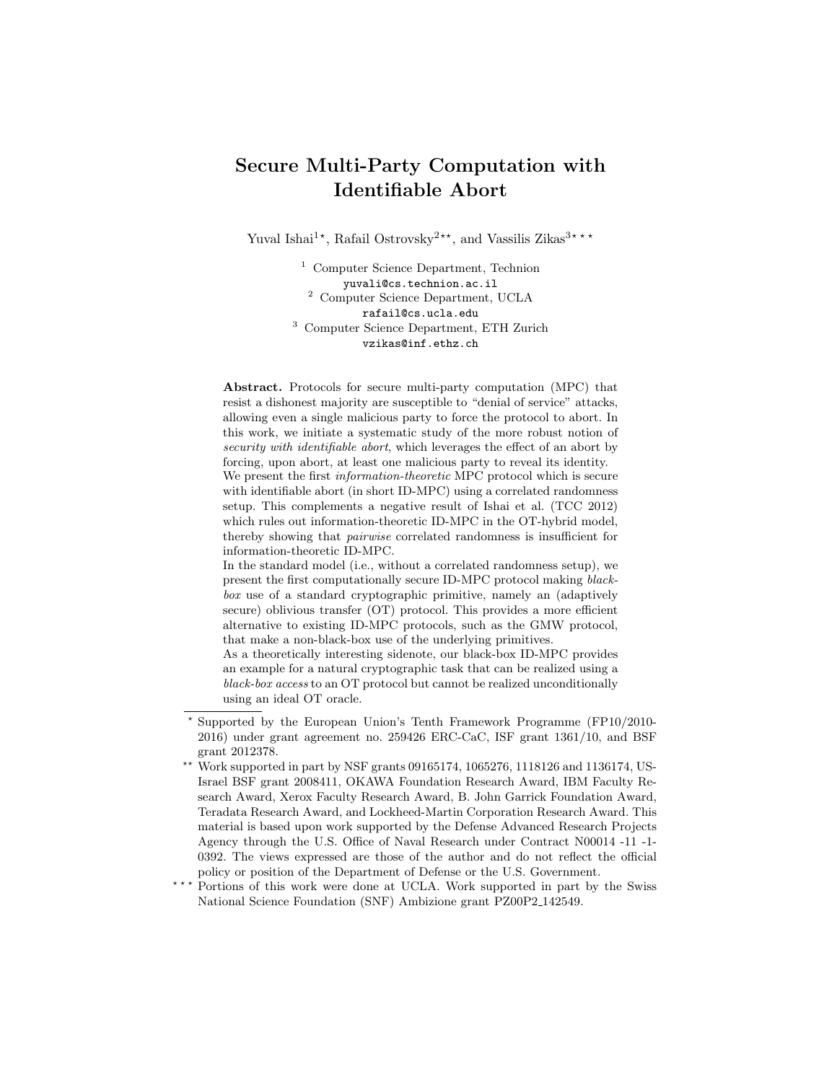# Secure Multi-Party Computation with Identifiable Abort

Yuval Ishai<sup>1\*</sup>, Rafail Ostrovsky<sup>2\*\*</sup>, and Vassilis Zikas<sup>3\*\*\*</sup>

<sup>1</sup> Computer Science Department, Technion yuvali@cs.technion.ac.il <sup>2</sup> Computer Science Department, UCLA rafail@cs.ucla.edu <sup>3</sup> Computer Science Department, ETH Zurich vzikas@inf.ethz.ch

Abstract. Protocols for secure multi-party computation (MPC) that resist a dishonest majority are susceptible to "denial of service" attacks, allowing even a single malicious party to force the protocol to abort. In this work, we initiate a systematic study of the more robust notion of security with identifiable abort, which leverages the effect of an abort by forcing, upon abort, at least one malicious party to reveal its identity. We present the first information-theoretic MPC protocol which is secure with identifiable abort (in short ID-MPC) using a correlated randomness setup. This complements a negative result of Ishai et al. (TCC 2012) which rules out information-theoretic ID-MPC in the OT-hybrid model, thereby showing that pairwise correlated randomness is insufficient for information-theoretic ID-MPC.

In the standard model (i.e., without a correlated randomness setup), we present the first computationally secure ID-MPC protocol making blackbox use of a standard cryptographic primitive, namely an (adaptively secure) oblivious transfer (OT) protocol. This provides a more efficient alternative to existing ID-MPC protocols, such as the GMW protocol, that make a non-black-box use of the underlying primitives.

As a theoretically interesting sidenote, our black-box ID-MPC provides an example for a natural cryptographic task that can be realized using a black-box access to an OT protocol but cannot be realized unconditionally using an ideal OT oracle.

<sup>?</sup> Supported by the European Union's Tenth Framework Programme (FP10/2010- 2016) under grant agreement no. 259426 ERC-CaC, ISF grant 1361/10, and BSF grant 2012378.

<sup>\*\*</sup> Work supported in part by NSF grants 09165174, 1065276, 1118126 and 1136174, US-Israel BSF grant 2008411, OKAWA Foundation Research Award, IBM Faculty Research Award, Xerox Faculty Research Award, B. John Garrick Foundation Award, Teradata Research Award, and Lockheed-Martin Corporation Research Award. This material is based upon work supported by the Defense Advanced Research Projects Agency through the U.S. Office of Naval Research under Contract N00014 -11 -1- 0392. The views expressed are those of the author and do not reflect the official policy or position of the Department of Defense or the U.S. Government.

Portions of this work were done at UCLA. Work supported in part by the Swiss National Science Foundation (SNF) Ambizione grant PZ00P2 142549.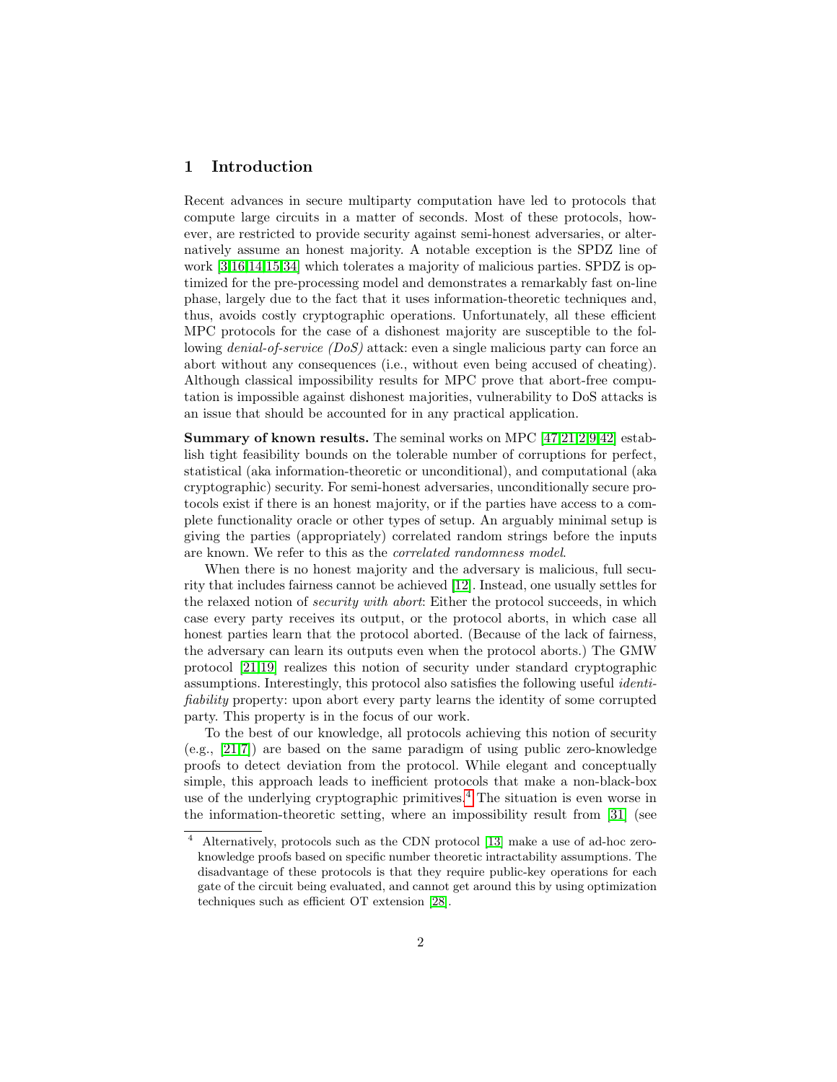## 1 Introduction

Recent advances in secure multiparty computation have led to protocols that compute large circuits in a matter of seconds. Most of these protocols, however, are restricted to provide security against semi-honest adversaries, or alternatively assume an honest majority. A notable exception is the SPDZ line of work [\[3](#page-15-0)[,16](#page-16-0)[,14,](#page-15-1)[15,](#page-16-1)[34\]](#page-17-0) which tolerates a majority of malicious parties. SPDZ is optimized for the pre-processing model and demonstrates a remarkably fast on-line phase, largely due to the fact that it uses information-theoretic techniques and, thus, avoids costly cryptographic operations. Unfortunately, all these efficient MPC protocols for the case of a dishonest majority are susceptible to the following denial-of-service (DoS) attack: even a single malicious party can force an abort without any consequences (i.e., without even being accused of cheating). Although classical impossibility results for MPC prove that abort-free computation is impossible against dishonest majorities, vulnerability to DoS attacks is an issue that should be accounted for in any practical application.

Summary of known results. The seminal works on MPC [\[47,](#page-17-1)[21,](#page-16-2)[2,](#page-15-2)[9](#page-15-3)[,42\]](#page-17-2) establish tight feasibility bounds on the tolerable number of corruptions for perfect, statistical (aka information-theoretic or unconditional), and computational (aka cryptographic) security. For semi-honest adversaries, unconditionally secure protocols exist if there is an honest majority, or if the parties have access to a complete functionality oracle or other types of setup. An arguably minimal setup is giving the parties (appropriately) correlated random strings before the inputs are known. We refer to this as the correlated randomness model.

When there is no honest majority and the adversary is malicious, full security that includes fairness cannot be achieved [\[12\]](#page-15-4). Instead, one usually settles for the relaxed notion of *security with abort*: Either the protocol succeeds, in which case every party receives its output, or the protocol aborts, in which case all honest parties learn that the protocol aborted. (Because of the lack of fairness, the adversary can learn its outputs even when the protocol aborts.) The GMW protocol [\[21,](#page-16-2)[19\]](#page-16-3) realizes this notion of security under standard cryptographic assumptions. Interestingly, this protocol also satisfies the following useful identifiability property: upon abort every party learns the identity of some corrupted party. This property is in the focus of our work.

To the best of our knowledge, all protocols achieving this notion of security (e.g., [\[21,](#page-16-2)[7\]](#page-15-5)) are based on the same paradigm of using public zero-knowledge proofs to detect deviation from the protocol. While elegant and conceptually simple, this approach leads to inefficient protocols that make a non-black-box use of the underlying cryptographic primitives.<sup>[4](#page-1-0)</sup> The situation is even worse in the information-theoretic setting, where an impossibility result from [\[31\]](#page-16-4) (see

<span id="page-1-0"></span><sup>4</sup> Alternatively, protocols such as the CDN protocol [\[13\]](#page-15-6) make a use of ad-hoc zeroknowledge proofs based on specific number theoretic intractability assumptions. The disadvantage of these protocols is that they require public-key operations for each gate of the circuit being evaluated, and cannot get around this by using optimization techniques such as efficient OT extension [\[28\]](#page-16-5).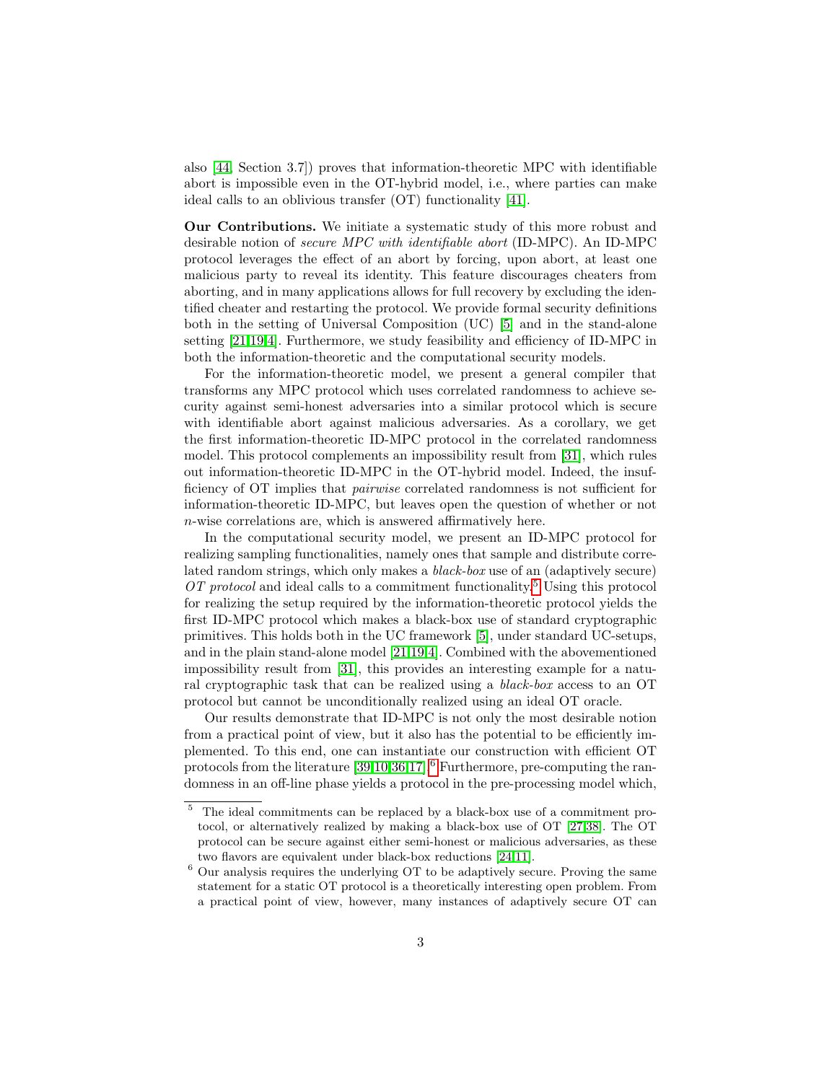also [\[44,](#page-17-3) Section 3.7]) proves that information-theoretic MPC with identifiable abort is impossible even in the OT-hybrid model, i.e., where parties can make ideal calls to an oblivious transfer (OT) functionality [\[41\]](#page-17-4).

Our Contributions. We initiate a systematic study of this more robust and desirable notion of secure MPC with identifiable abort (ID-MPC). An ID-MPC protocol leverages the effect of an abort by forcing, upon abort, at least one malicious party to reveal its identity. This feature discourages cheaters from aborting, and in many applications allows for full recovery by excluding the identified cheater and restarting the protocol. We provide formal security definitions both in the setting of Universal Composition (UC) [\[5\]](#page-15-7) and in the stand-alone setting [\[21](#page-16-2)[,19,](#page-16-3)[4\]](#page-15-8). Furthermore, we study feasibility and efficiency of ID-MPC in both the information-theoretic and the computational security models.

For the information-theoretic model, we present a general compiler that transforms any MPC protocol which uses correlated randomness to achieve security against semi-honest adversaries into a similar protocol which is secure with identifiable abort against malicious adversaries. As a corollary, we get the first information-theoretic ID-MPC protocol in the correlated randomness model. This protocol complements an impossibility result from [\[31\]](#page-16-4), which rules out information-theoretic ID-MPC in the OT-hybrid model. Indeed, the insufficiency of OT implies that pairwise correlated randomness is not sufficient for information-theoretic ID-MPC, but leaves open the question of whether or not n-wise correlations are, which is answered affirmatively here.

In the computational security model, we present an ID-MPC protocol for realizing sampling functionalities, namely ones that sample and distribute correlated random strings, which only makes a black-box use of an (adaptively secure)  $OT$  protocol and ideal calls to a commitment functionality.<sup>[5](#page-2-0)</sup> Using this protocol for realizing the setup required by the information-theoretic protocol yields the first ID-MPC protocol which makes a black-box use of standard cryptographic primitives. This holds both in the UC framework [\[5\]](#page-15-7), under standard UC-setups, and in the plain stand-alone model [\[21,](#page-16-2)[19,](#page-16-3)[4\]](#page-15-8). Combined with the abovementioned impossibility result from [\[31\]](#page-16-4), this provides an interesting example for a natural cryptographic task that can be realized using a black-box access to an OT protocol but cannot be unconditionally realized using an ideal OT oracle.

Our results demonstrate that ID-MPC is not only the most desirable notion from a practical point of view, but it also has the potential to be efficiently implemented. To this end, one can instantiate our construction with efficient OT protocols from the literature  $[39,10,36,17]$  $[39,10,36,17]$  $[39,10,36,17]$  $[39,10,36,17]$ .<sup>[6](#page-2-1)</sup> Furthermore, pre-computing the randomness in an off-line phase yields a protocol in the pre-processing model which,

<span id="page-2-0"></span><sup>5</sup> The ideal commitments can be replaced by a black-box use of a commitment protocol, or alternatively realized by making a black-box use of OT [\[27,](#page-16-7)[38\]](#page-17-7). The OT protocol can be secure against either semi-honest or malicious adversaries, as these two flavors are equivalent under black-box reductions [\[24,](#page-16-8)[11\]](#page-15-10).

<span id="page-2-1"></span> $6$  Our analysis requires the underlying OT to be adaptively secure. Proving the same statement for a static OT protocol is a theoretically interesting open problem. From a practical point of view, however, many instances of adaptively secure OT can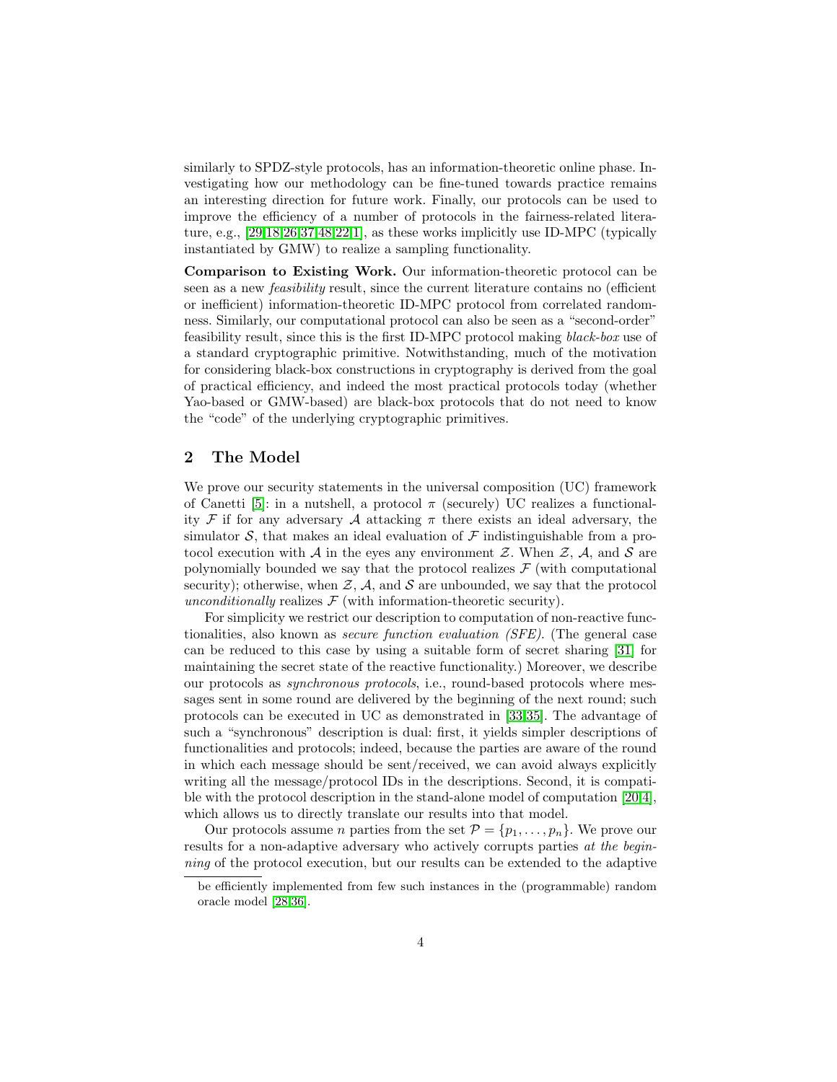similarly to SPDZ-style protocols, has an information-theoretic online phase. Investigating how our methodology can be fine-tuned towards practice remains an interesting direction for future work. Finally, our protocols can be used to improve the efficiency of a number of protocols in the fairness-related literature, e.g., [\[29,](#page-16-9)[18,](#page-16-10)[26](#page-16-11)[,37,](#page-17-8)[48,](#page-17-9)[22,](#page-16-12)[1\]](#page-15-11), as these works implicitly use ID-MPC (typically instantiated by GMW) to realize a sampling functionality.

Comparison to Existing Work. Our information-theoretic protocol can be seen as a new feasibility result, since the current literature contains no (efficient or inefficient) information-theoretic ID-MPC protocol from correlated randomness. Similarly, our computational protocol can also be seen as a "second-order" feasibility result, since this is the first ID-MPC protocol making black-box use of a standard cryptographic primitive. Notwithstanding, much of the motivation for considering black-box constructions in cryptography is derived from the goal of practical efficiency, and indeed the most practical protocols today (whether Yao-based or GMW-based) are black-box protocols that do not need to know the "code" of the underlying cryptographic primitives.

# 2 The Model

We prove our security statements in the universal composition (UC) framework of Canetti [\[5\]](#page-15-7): in a nutshell, a protocol  $\pi$  (securely) UC realizes a functionality F if for any adversary A attacking  $\pi$  there exists an ideal adversary, the simulator  $S$ , that makes an ideal evaluation of  $\mathcal F$  indistinguishable from a protocol execution with A in the eyes any environment Z. When  $\mathcal{Z}$ , A, and S are polynomially bounded we say that the protocol realizes  $\mathcal F$  (with computational security); otherwise, when  $\mathcal{Z}, \mathcal{A}$ , and  $\mathcal{S}$  are unbounded, we say that the protocol unconditionally realizes  $\mathcal F$  (with information-theoretic security).

For simplicity we restrict our description to computation of non-reactive functionalities, also known as secure function evaluation (SFE). (The general case can be reduced to this case by using a suitable form of secret sharing [\[31\]](#page-16-4) for maintaining the secret state of the reactive functionality.) Moreover, we describe our protocols as synchronous protocols, i.e., round-based protocols where messages sent in some round are delivered by the beginning of the next round; such protocols can be executed in UC as demonstrated in [\[33](#page-17-10)[,35\]](#page-17-11). The advantage of such a "synchronous" description is dual: first, it yields simpler descriptions of functionalities and protocols; indeed, because the parties are aware of the round in which each message should be sent/received, we can avoid always explicitly writing all the message/protocol IDs in the descriptions. Second, it is compatible with the protocol description in the stand-alone model of computation [\[20,](#page-16-13)[4\]](#page-15-8), which allows us to directly translate our results into that model.

Our protocols assume *n* parties from the set  $\mathcal{P} = \{p_1, \ldots, p_n\}$ . We prove our results for a non-adaptive adversary who actively corrupts parties at the beginning of the protocol execution, but our results can be extended to the adaptive

be efficiently implemented from few such instances in the (programmable) random oracle model [\[28,](#page-16-5)[36\]](#page-17-6).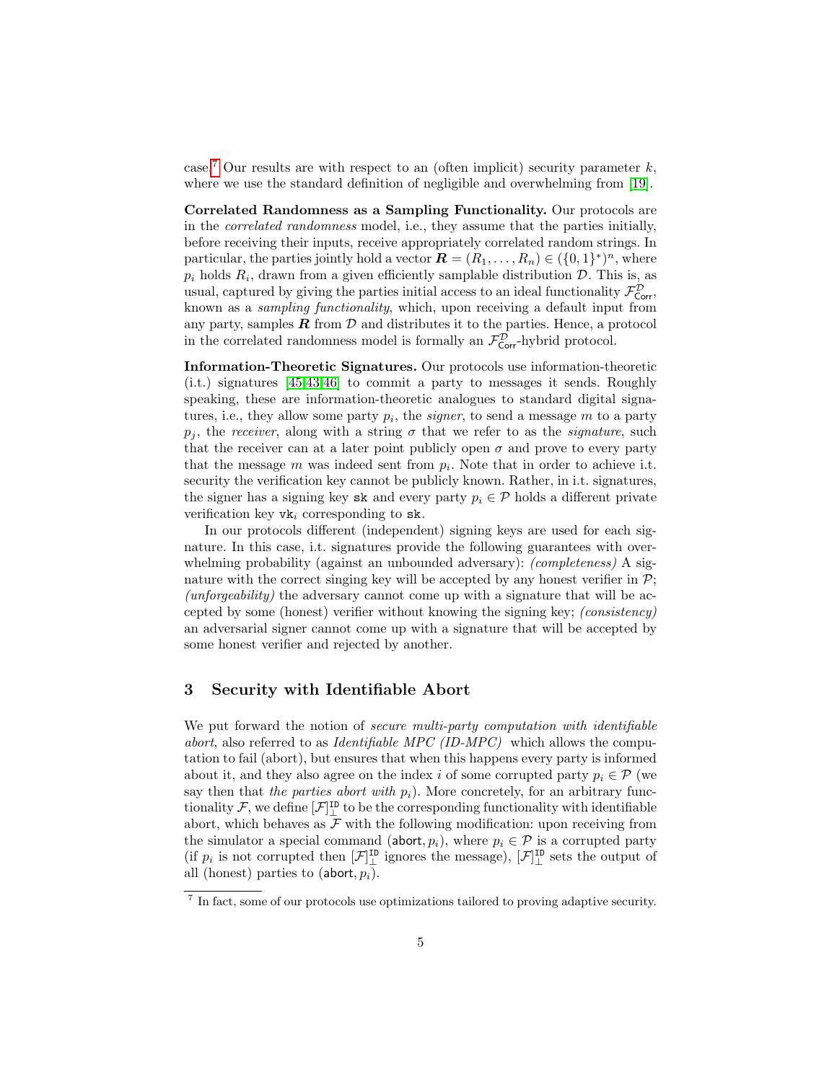case.<sup>[7](#page-4-0)</sup> Our results are with respect to an (often implicit) security parameter  $k$ , where we use the standard definition of negligible and overwhelming from [\[19\]](#page-16-3).

Correlated Randomness as a Sampling Functionality. Our protocols are in the correlated randomness model, i.e., they assume that the parties initially, before receiving their inputs, receive appropriately correlated random strings. In particular, the parties jointly hold a vector  $\mathbf{R} = (R_1, \ldots, R_n) \in (\{0,1\}^*)^n$ , where  $p_i$  holds  $R_i$ , drawn from a given efficiently samplable distribution  $\mathcal{D}$ . This is, as usual, captured by giving the parties initial access to an ideal functionality  $\mathcal{F}^{\mathcal{D}}_{\text{Corr}}$ , known as a sampling functionality, which, upon receiving a default input from any party, samples  $\bf{R}$  from  $\bf{D}$  and distributes it to the parties. Hence, a protocol in the correlated randomness model is formally an  $\mathcal{F}^{\mathcal{D}}_{\text{Corr}}$ -hybrid protocol.

Information-Theoretic Signatures. Our protocols use information-theoretic (i.t.) signatures [\[45,](#page-17-12)[43,](#page-17-13)[46\]](#page-17-14) to commit a party to messages it sends. Roughly speaking, these are information-theoretic analogues to standard digital signatures, i.e., they allow some party  $p_i$ , the *signer*, to send a message  $m$  to a party  $p_i$ , the receiver, along with a string  $\sigma$  that we refer to as the *signature*, such that the receiver can at a later point publicly open  $\sigma$  and prove to every party that the message  $m$  was indeed sent from  $p_i$ . Note that in order to achieve i.t. security the verification key cannot be publicly known. Rather, in i.t. signatures, the signer has a signing key sk and every party  $p_i \in \mathcal{P}$  holds a different private verification key  $\mathbf{vk}_i$  corresponding to  $\mathbf{sk}$ .

In our protocols different (independent) signing keys are used for each signature. In this case, i.t. signatures provide the following guarantees with overwhelming probability (against an unbounded adversary): *(completeness)* A signature with the correct singing key will be accepted by any honest verifier in  $\mathcal{P}$ ; (unforgeability) the adversary cannot come up with a signature that will be accepted by some (honest) verifier without knowing the signing key; (consistency) an adversarial signer cannot come up with a signature that will be accepted by some honest verifier and rejected by another.

# 3 Security with Identifiable Abort

We put forward the notion of *secure multi-party computation with identifiable* abort, also referred to as *Identifiable MPC* (*ID-MPC*) which allows the computation to fail (abort), but ensures that when this happens every party is informed about it, and they also agree on the index i of some corrupted party  $p_i \in \mathcal{P}$  (we say then that the parties abort with  $p_i$ ). More concretely, for an arbitrary functionality  $\mathcal{F}$ , we define  $[\mathcal{F}]_\perp^{\text{ID}}$  to be the corresponding functionality with identifiable abort, which behaves as  $\mathcal F$  with the following modification: upon receiving from the simulator a special command (abort,  $p_i$ ), where  $p_i \in \mathcal{P}$  is a corrupted party (if  $p_i$  is not corrupted then  $[\mathcal{F}]_\perp^{\text{ID}}$  ignores the message),  $[\mathcal{F}]_\perp^{\text{ID}}$  sets the output of all (honest) parties to (abort,  $p_i$ ).

<span id="page-4-0"></span><sup>&</sup>lt;sup>7</sup> In fact, some of our protocols use optimizations tailored to proving adaptive security.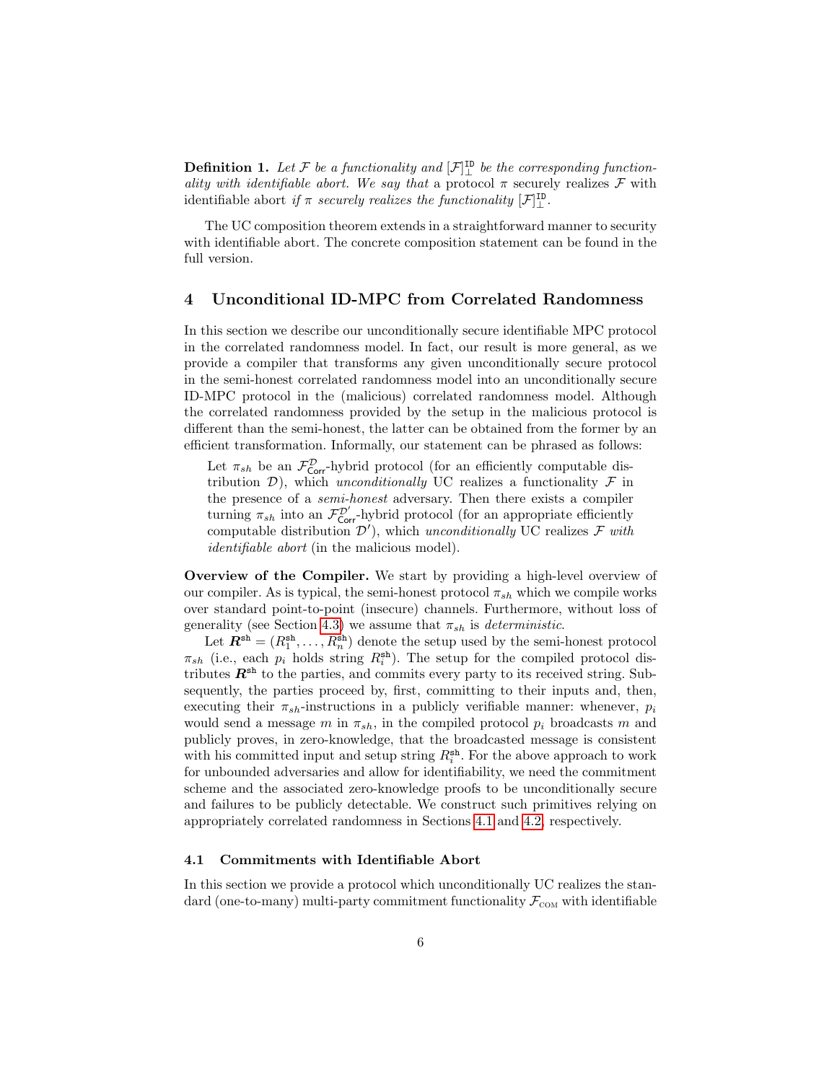**Definition 1.** Let F be a functionality and  $[\mathcal{F}]^{\text{ID}}_{\perp}$  be the corresponding functionality with identifiable abort. We say that a protocol  $\pi$  securely realizes  $\mathcal F$  with identifiable abort if  $\pi$  securely realizes the functionality  $[\mathcal{F}]^{\text{ID}}_{\perp}$ .

The UC composition theorem extends in a straightforward manner to security with identifiable abort. The concrete composition statement can be found in the full version.

## 4 Unconditional ID-MPC from Correlated Randomness

In this section we describe our unconditionally secure identifiable MPC protocol in the correlated randomness model. In fact, our result is more general, as we provide a compiler that transforms any given unconditionally secure protocol in the semi-honest correlated randomness model into an unconditionally secure ID-MPC protocol in the (malicious) correlated randomness model. Although the correlated randomness provided by the setup in the malicious protocol is different than the semi-honest, the latter can be obtained from the former by an efficient transformation. Informally, our statement can be phrased as follows:

Let  $\pi_{sh}$  be an  $\mathcal{F}^{\mathcal{D}}_{\text{Corr}}$ -hybrid protocol (for an efficiently computable distribution  $\mathcal{D}$ ), which unconditionally UC realizes a functionality  $\mathcal F$  in the presence of a semi-honest adversary. Then there exists a compiler turning  $\pi_{sh}$  into an  $\mathcal{F}^{\mathcal{D}'}_{\text{Corr}}$ -hybrid protocol (for an appropriate efficiently computable distribution  $\mathcal{D}'$ ), which unconditionally UC realizes  $\mathcal F$  with identifiable abort (in the malicious model).

Overview of the Compiler. We start by providing a high-level overview of our compiler. As is typical, the semi-honest protocol  $\pi_{sh}$  which we compile works over standard point-to-point (insecure) channels. Furthermore, without loss of generality (see Section [4.3\)](#page-10-0) we assume that  $\pi_{sh}$  is *deterministic*.

Let  $\mathbf{R}^{\text{sh}} = (R_1^{\text{sh}}, \dots, R_n^{\text{sh}})$  denote the setup used by the semi-honest protocol  $\pi_{sh}$  (i.e., each  $p_i$  holds string  $R_i^{sh}$ ). The setup for the compiled protocol distributes  $\mathbf{R}^{\text{sh}}$  to the parties, and commits every party to its received string. Subsequently, the parties proceed by, first, committing to their inputs and, then, executing their  $\pi_{sh}$ -instructions in a publicly verifiable manner: whenever,  $p_i$ would send a message m in  $\pi_{sh}$ , in the compiled protocol  $p_i$  broadcasts m and publicly proves, in zero-knowledge, that the broadcasted message is consistent with his committed input and setup string  $R_i^{\text{sh}}$ . For the above approach to work for unbounded adversaries and allow for identifiability, we need the commitment scheme and the associated zero-knowledge proofs to be unconditionally secure and failures to be publicly detectable. We construct such primitives relying on appropriately correlated randomness in Sections [4.1](#page-5-0) and [4.2,](#page-6-0) respectively.

#### <span id="page-5-0"></span>4.1 Commitments with Identifiable Abort

In this section we provide a protocol which unconditionally UC realizes the standard (one-to-many) multi-party commitment functionality  $\mathcal{F}_{COM}$  with identifiable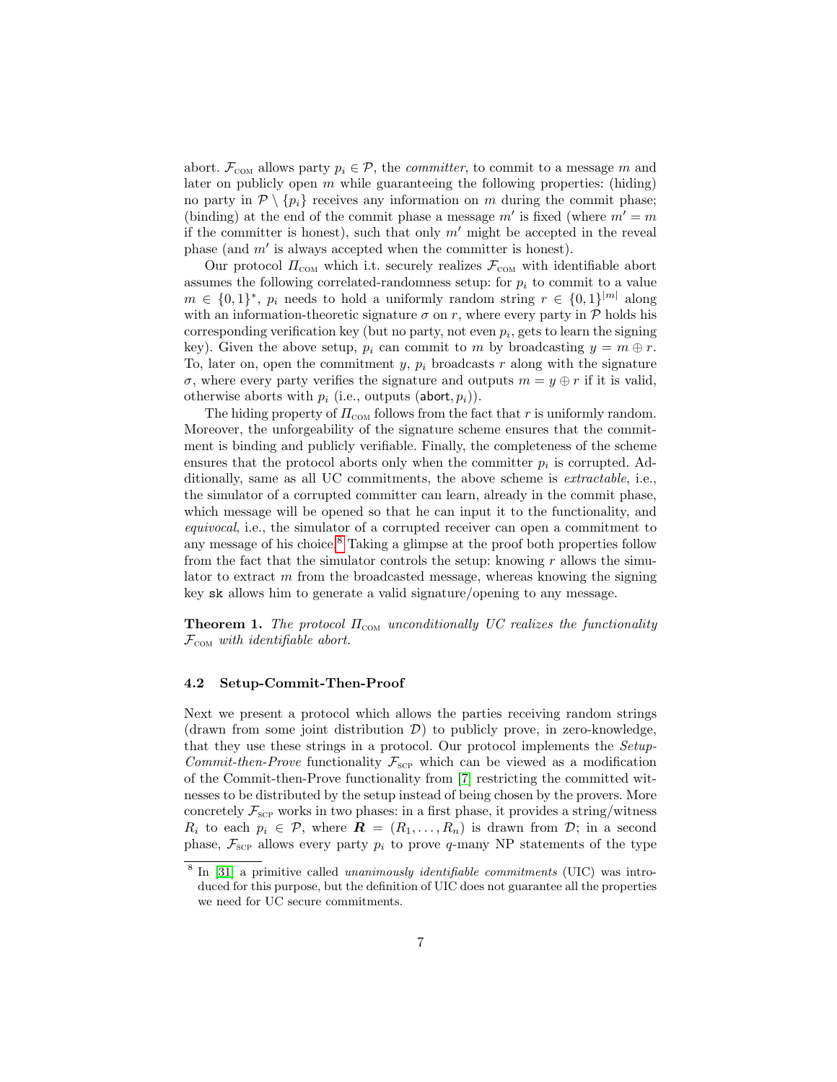abort.  $\mathcal{F}_{COM}$  allows party  $p_i \in \mathcal{P}$ , the *committer*, to commit to a message m and later on publicly open  $m$  while guaranteeing the following properties: (hiding) no party in  $\mathcal{P} \setminus \{p_i\}$  receives any information on m during the commit phase; (binding) at the end of the commit phase a message  $m'$  is fixed (where  $m' = m$ ) if the committer is honest), such that only  $m'$  might be accepted in the reveal phase (and  $m'$  is always accepted when the committer is honest).

Our protocol  $\Pi_{COM}$  which i.t. securely realizes  $\mathcal{F}_{COM}$  with identifiable abort assumes the following correlated-randomness setup: for  $p_i$  to commit to a value  $m \in \{0,1\}^*, p_i$  needs to hold a uniformly random string  $r \in \{0,1\}^{|m|}$  along with an information-theoretic signature  $\sigma$  on r, where every party in  $P$  holds his corresponding verification key (but no party, not even  $p_i$ , gets to learn the signing key). Given the above setup,  $p_i$  can commit to m by broadcasting  $y = m \oplus r$ . To, later on, open the commitment y,  $p_i$  broadcasts r along with the signature σ, where every party verifies the signature and outputs  $m = y \oplus r$  if it is valid, otherwise aborts with  $p_i$  (i.e., outputs (abort,  $p_i$ )).

The hiding property of  $\Pi_{\text{COM}}$  follows from the fact that r is uniformly random. Moreover, the unforgeability of the signature scheme ensures that the commitment is binding and publicly verifiable. Finally, the completeness of the scheme ensures that the protocol aborts only when the committer  $p_i$  is corrupted. Additionally, same as all UC commitments, the above scheme is extractable, i.e., the simulator of a corrupted committer can learn, already in the commit phase, which message will be opened so that he can input it to the functionality, and equivocal, i.e., the simulator of a corrupted receiver can open a commitment to any message of his choice.<sup>[8](#page-6-1)</sup> Taking a glimpse at the proof both properties follow from the fact that the simulator controls the setup: knowing  $r$  allows the simulator to extract  $m$  from the broadcasted message, whereas knowing the signing key sk allows him to generate a valid signature/opening to any message.

**Theorem 1.** The protocol  $\Pi_{COM}$  unconditionally UC realizes the functionality  $\mathcal{F}_{COM}$  with identifiable abort.

## <span id="page-6-0"></span>4.2 Setup-Commit-Then-Proof

Next we present a protocol which allows the parties receiving random strings (drawn from some joint distribution  $\mathcal{D}$ ) to publicly prove, in zero-knowledge, that they use these strings in a protocol. Our protocol implements the Setup-Commit-then-Prove functionality  $\mathcal{F}_{\text{SCP}}$  which can be viewed as a modification of the Commit-then-Prove functionality from [\[7\]](#page-15-5) restricting the committed witnesses to be distributed by the setup instead of being chosen by the provers. More concretely  $\mathcal{F}_{\text{SCP}}$  works in two phases: in a first phase, it provides a string/witness  $R_i$  to each  $p_i \in \mathcal{P}$ , where  $\mathbf{R} = (R_1, \ldots, R_n)$  is drawn from  $\mathcal{D}$ ; in a second phase,  $\mathcal{F}_{\text{SCP}}$  allows every party  $p_i$  to prove q-many NP statements of the type

<span id="page-6-1"></span> $8$  In [\[31\]](#page-16-4) a primitive called *unanimously identifiable commitments* (UIC) was introduced for this purpose, but the definition of UIC does not guarantee all the properties we need for UC secure commitments.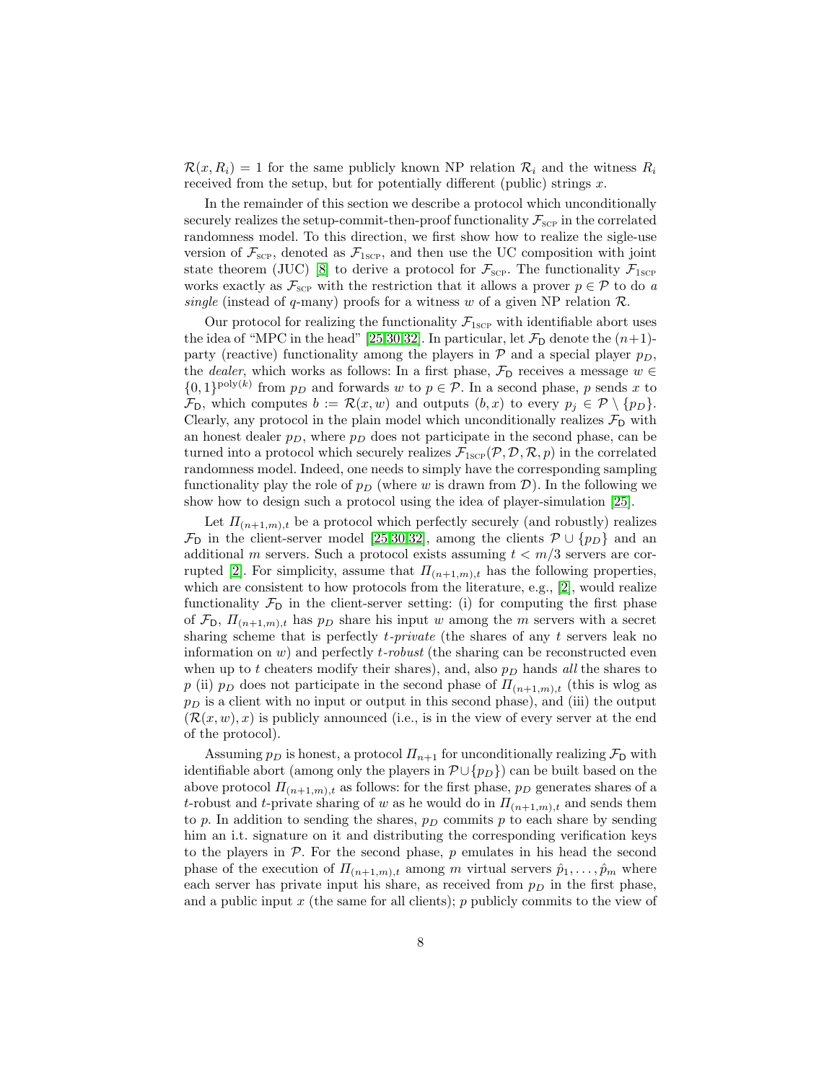$\mathcal{R}(x, R_i) = 1$  for the same publicly known NP relation  $\mathcal{R}_i$  and the witness  $R_i$ received from the setup, but for potentially different (public) strings  $x$ .

In the remainder of this section we describe a protocol which unconditionally securely realizes the setup-commit-then-proof functionality  $\mathcal{F}_{\text{SCP}}$  in the correlated randomness model. To this direction, we first show how to realize the sigle-use version of  $\mathcal{F}_{\text{SCP}}$ , denoted as  $\mathcal{F}_{\text{1SCP}}$ , and then use the UC composition with joint state theorem (JUC) [\[8\]](#page-15-12) to derive a protocol for  $\mathcal{F}_{\text{SCP}}$ . The functionality  $\mathcal{F}_{\text{1SCP}}$ works exactly as  $\mathcal{F}_{\text{SCP}}$  with the restriction that it allows a prover  $p \in \mathcal{P}$  to do a single (instead of q-many) proofs for a witness w of a given NP relation  $\mathcal{R}$ .

Our protocol for realizing the functionality  $\mathcal{F}_{1\text{SCP}}$  with identifiable abort uses the idea of "MPC in the head" [\[25,](#page-16-14)[30,](#page-16-15)[32\]](#page-17-15). In particular, let  $\mathcal{F}_{\mathsf{D}}$  denote the  $(n+1)$ party (reactive) functionality among the players in  $\mathcal P$  and a special player  $p_D$ , the *dealer*, which works as follows: In a first phase,  $\mathcal{F}_{\mathsf{D}}$  receives a message  $w \in$  $\{0,1\}^{\text{poly}(k)}$  from  $p_D$  and forwards w to  $p \in \mathcal{P}$ . In a second phase, p sends x to  $\mathcal{F}_{\mathsf{D}}$ , which computes  $b := \mathcal{R}(x, w)$  and outputs  $(b, x)$  to every  $p_i \in \mathcal{P} \setminus \{p_D\}.$ Clearly, any protocol in the plain model which unconditionally realizes  $\mathcal{F}_{D}$  with an honest dealer  $p<sub>D</sub>$ , where  $p<sub>D</sub>$  does not participate in the second phase, can be turned into a protocol which securely realizes  $\mathcal{F}_{1\text{SCP}}(\mathcal{P},\mathcal{D},\mathcal{R},p)$  in the correlated randomness model. Indeed, one needs to simply have the corresponding sampling functionality play the role of  $p_D$  (where w is drawn from  $\mathcal D$ ). In the following we show how to design such a protocol using the idea of player-simulation [\[25\]](#page-16-14).

Let  $\mathcal{H}_{(n+1,m),t}$  be a protocol which perfectly securely (and robustly) realizes  $\mathcal{F}_{\mathsf{D}}$  in the client-server model [\[25,](#page-16-14)[30](#page-16-15)[,32\]](#page-17-15), among the clients  $\mathcal{P} \cup \{p_D\}$  and an additional m servers. Such a protocol exists assuming  $t < m/3$  servers are cor-rupted [\[2\]](#page-15-2). For simplicity, assume that  $\Pi_{(n+1,m),t}$  has the following properties, which are consistent to how protocols from the literature, e.g.,  $[2]$ , would realize functionality  $\mathcal{F}_{\mathsf{D}}$  in the client-server setting: (i) for computing the first phase of  $\mathcal{F}_{\mathsf{D}}, \Pi_{(n+1,m),t}$  has  $p_D$  share his input w among the m servers with a secret sharing scheme that is perfectly  $t$ -private (the shares of any  $t$  servers leak no information on  $w$ ) and perfectly  $t$ -robust (the sharing can be reconstructed even when up to t cheaters modify their shares), and, also  $p<sub>D</sub>$  hands all the shares to p (ii)  $p_D$  does not participate in the second phase of  $\Pi_{(n+1,m),t}$  (this is wlog as  $p<sub>D</sub>$  is a client with no input or output in this second phase), and (iii) the output  $(\mathcal{R}(x, w), x)$  is publicly announced (i.e., is in the view of every server at the end of the protocol).

Assuming  $p_D$  is honest, a protocol  $\Pi_{n+1}$  for unconditionally realizing  $\mathcal{F}_D$  with identifiable abort (among only the players in  $\mathcal{P} \cup \{p_D\}$ ) can be built based on the above protocol  $\Pi_{(n+1,m),t}$  as follows: for the first phase,  $p_D$  generates shares of a t-robust and t-private sharing of w as he would do in  $\Pi_{(n+1,m),t}$  and sends them to p. In addition to sending the shares,  $p<sub>D</sub>$  commits p to each share by sending him an i.t. signature on it and distributing the corresponding verification keys to the players in  $P$ . For the second phase, p emulates in his head the second phase of the execution of  $\Pi_{(n+1,m),t}$  among m virtual servers  $\hat{p}_1, \ldots, \hat{p}_m$  where each server has private input his share, as received from  $p<sub>D</sub>$  in the first phase, and a public input  $x$  (the same for all clients);  $p$  publicly commits to the view of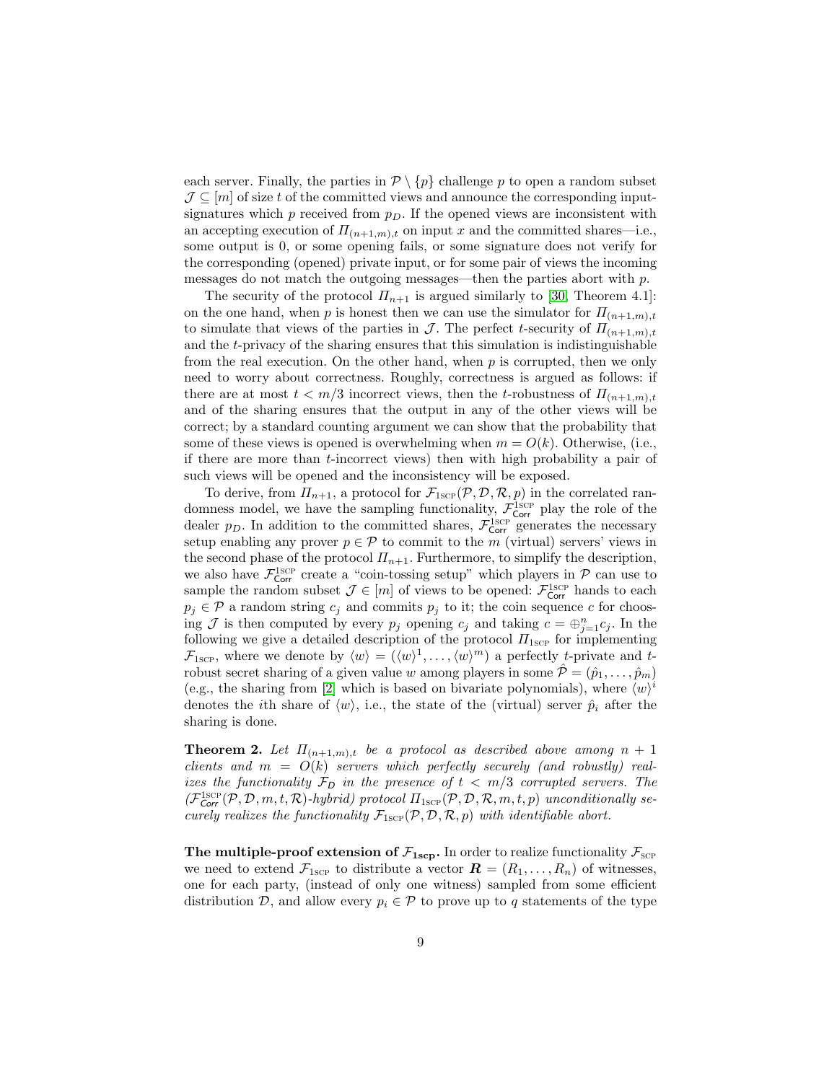each server. Finally, the parties in  $\mathcal{P} \setminus \{p\}$  challenge p to open a random subset  $\mathcal{J} \subseteq [m]$  of size t of the committed views and announce the corresponding inputsignatures which  $p$  received from  $p<sub>D</sub>$ . If the opened views are inconsistent with an accepting execution of  $\Pi_{(n+1,m),t}$  on input x and the committed shares—i.e., some output is 0, or some opening fails, or some signature does not verify for the corresponding (opened) private input, or for some pair of views the incoming messages do not match the outgoing messages—then the parties abort with  $p$ .

The security of the protocol  $\Pi_{n+1}$  is argued similarly to [\[30,](#page-16-15) Theorem 4.1]: on the one hand, when p is honest then we can use the simulator for  $\Pi_{(n+1,m),t}$ to simulate that views of the parties in  $\mathcal{J}$ . The perfect t-security of  $\Pi_{(n+1,m),t}$ and the t-privacy of the sharing ensures that this simulation is indistinguishable from the real execution. On the other hand, when  $p$  is corrupted, then we only need to worry about correctness. Roughly, correctness is argued as follows: if there are at most  $t < m/3$  incorrect views, then the t-robustness of  $\Pi_{(n+1,m),t}$ and of the sharing ensures that the output in any of the other views will be correct; by a standard counting argument we can show that the probability that some of these views is opened is overwhelming when  $m = O(k)$ . Otherwise, (i.e., if there are more than t-incorrect views) then with high probability a pair of such views will be opened and the inconsistency will be exposed.

To derive, from  $\Pi_{n+1}$ , a protocol for  $\mathcal{F}_{1\text{SCP}}(\mathcal{P},\mathcal{D},\mathcal{R},p)$  in the correlated randomness model, we have the sampling functionality,  $\mathcal{F}_{Corr}^{\text{1SCP}}$  play the role of the dealer  $p_D$ . In addition to the committed shares,  $\mathcal{F}_{Corr}^{\text{1sCP}}$  generates the necessary setup enabling any prover  $p \in \mathcal{P}$  to commit to the m (virtual) servers' views in the second phase of the protocol  $\Pi_{n+1}$ . Furthermore, to simplify the description, we also have  $\mathcal{F}_{Corr}^{1\text{SCP}}$  create a "coin-tossing setup" which players in  $\mathcal P$  can use to sample the random subset  $\mathcal{J} \in [m]$  of views to be opened:  $\mathcal{F}_{Corr}^{\text{1SCP}}$  hands to each  $p_j \in \mathcal{P}$  a random string  $c_j$  and commits  $p_j$  to it; the coin sequence c for choosing J is then computed by every  $p_j$  opening  $c_j$  and taking  $c = \bigoplus_{j=1}^n c_j$ . In the following we give a detailed description of the protocol  $\Pi_{1\text{SCP}}$  for implementing  $\mathcal{F}_{1\text{SCP}}$ , where we denote by  $\langle w \rangle = (\langle w \rangle^1, \dots, \langle w \rangle^m)$  a perfectly t-private and trobust secret sharing of a given value w among players in some  $\hat{\mathcal{P}} = (\hat{p}_1, \dots, \hat{p}_m)$ (e.g., the sharing from [\[2\]](#page-15-2) which is based on bivariate polynomials), where  $\langle w \rangle^i$ denotes the *i*th share of  $\langle w \rangle$ , i.e., the state of the (virtual) server  $\hat{p}_i$  after the sharing is done.

**Theorem 2.** Let  $\Pi_{(n+1,m),t}$  be a protocol as described above among  $n+1$ clients and  $m = O(k)$  servers which perfectly securely (and robustly) realizes the functionality  $\mathcal{F}_D$  in the presence of  $t < m/3$  corrupted servers. The  $(\mathcal{F}^{\text{1SCP}}_{\text{Corr}}(\mathcal{P}, \mathcal{D}, m, t, \mathcal{R})$ -hybrid) protocol  $\Pi_{\text{1SCP}}(\mathcal{P}, \mathcal{D}, \mathcal{R}, m, t, p)$  unconditionally securely realizes the functionality  $\mathcal{F}_{1scp}(\mathcal{P}, \mathcal{D}, \mathcal{R}, p)$  with identifiable abort.

The multiple-proof extension of  $\mathcal{F}_{1\text{sep}}$ . In order to realize functionality  $\mathcal{F}_{\text{SCP}}$ we need to extend  $\mathcal{F}_{1\text{SCP}}$  to distribute a vector  $\mathbf{R} = (R_1, \ldots, R_n)$  of witnesses, one for each party, (instead of only one witness) sampled from some efficient distribution D, and allow every  $p_i \in \mathcal{P}$  to prove up to q statements of the type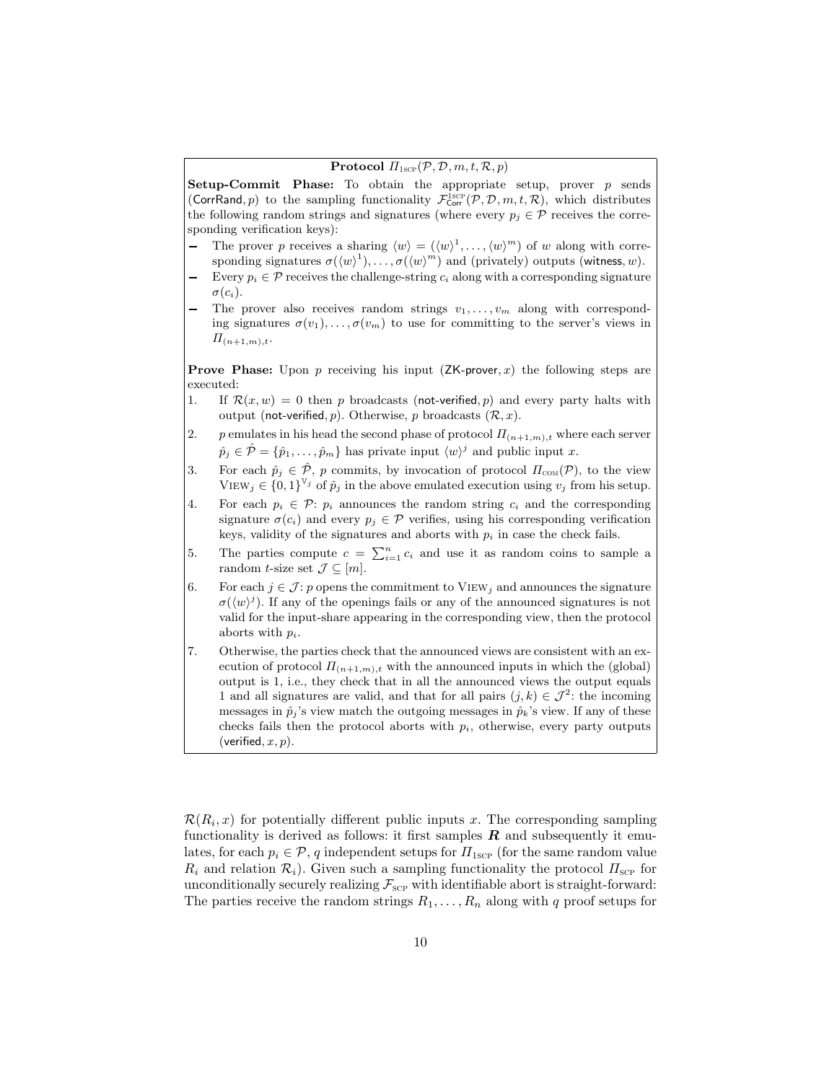### Protocol  $\Pi_{1\text{SCP}}(\mathcal{P},\mathcal{D},m,t,\mathcal{R},p)$

**Setup-Commit Phase:** To obtain the appropriate setup, prover  $p$  sends (CorrRand, p) to the sampling functionality  $\mathcal{F}_{Corr}^{\text{Iscr}}(\mathcal{P},\mathcal{D},m,t,\mathcal{R})$ , which distributes the following random strings and signatures (where every  $p_j \in \mathcal{P}$  receives the corresponding verification keys):

- The prover p receives a sharing  $\langle w \rangle = (\langle w \rangle^1, \dots, \langle w \rangle^m)$  of w along with corresponding signatures  $\sigma(\langle w \rangle^1), \ldots, \sigma(\langle w \rangle^m)$  and (privately) outputs (witness, w).
- Every  $p_i \in \mathcal{P}$  receives the challenge-string  $c_i$  along with a corresponding signature  $\sigma(c_i)$ .
- The prover also receives random strings  $v_1, \ldots, v_m$  along with corresponding signatures  $\sigma(v_1), \ldots, \sigma(v_m)$  to use for committing to the server's views in  $\Pi_{(n+1,m),t}.$

**Prove Phase:** Upon p receiving his input  $(ZK\text{-}prove, x)$  the following steps are executed:

- 1. If  $\mathcal{R}(x, w) = 0$  then p broadcasts (not-verified, p) and every party halts with output (not-verified, p). Otherwise, p broadcasts  $(\mathcal{R}, x)$ .
- 2. p emulates in his head the second phase of protocol  $\Pi_{(n+1,m),t}$  where each server  $\hat{p}_j \in \hat{\mathcal{P}} = \{\hat{p}_1, \dots, \hat{p}_m\}$  has private input  $\langle w \rangle^j$  and public input x.
- 3. For each  $\hat{p}_j \in \hat{\mathcal{P}}, p$  commits, by invocation of protocol  $\Pi_{\text{COM}}(\mathcal{P})$ , to the view VIEW<sub>j</sub>  $\in$  {0, 1}<sup>V<sub>j</sub></sup> of  $\hat{p}_j$  in the above emulated execution using  $v_j$  from his setup.
- 4. For each  $p_i \in \mathcal{P}$ :  $p_i$  announces the random string  $c_i$  and the corresponding signature  $\sigma(c_i)$  and every  $p_j \in \mathcal{P}$  verifies, using his corresponding verification keys, validity of the signatures and aborts with  $p_i$  in case the check fails.
- 5. The parties compute  $c = \sum_{i=1}^{n} c_i$  and use it as random coins to sample a random t-size set  $\mathcal{J} \subseteq [m]$ .
- 6. For each  $j \in \mathcal{J}$ : p opens the commitment to VIEW<sub>i</sub> and announces the signature  $\sigma({\langle w \rangle}^j)$ . If any of the openings fails or any of the announced signatures is not valid for the input-share appearing in the corresponding view, then the protocol aborts with  $p_i$ .
- 7. Otherwise, the parties check that the announced views are consistent with an execution of protocol  $\Pi_{(n+1,m),t}$  with the announced inputs in which the (global) output is 1, i.e., they check that in all the announced views the output equals 1 and all signatures are valid, and that for all pairs  $(j, k) \in \mathcal{J}^2$ : the incoming messages in  $\hat{p}_i$ 's view match the outgoing messages in  $\hat{p}_k$ 's view. If any of these checks fails then the protocol aborts with  $p_i$ , otherwise, every party outputs (verified,  $x, p$ ).

 $\mathcal{R}(R_i,x)$  for potentially different public inputs x. The corresponding sampling functionality is derived as follows: it first samples  $R$  and subsequently it emulates, for each  $p_i \in \mathcal{P}$ , q independent setups for  $\Pi_{1\text{SCP}}$  (for the same random value  $R_i$  and relation  $\mathcal{R}_i$ ). Given such a sampling functionality the protocol  $\Pi_{\text{SCP}}$  for unconditionally securely realizing  $\mathcal{F}_{\text{SCP}}$  with identifiable abort is straight-forward: The parties receive the random strings  $R_1, \ldots, R_n$  along with q proof setups for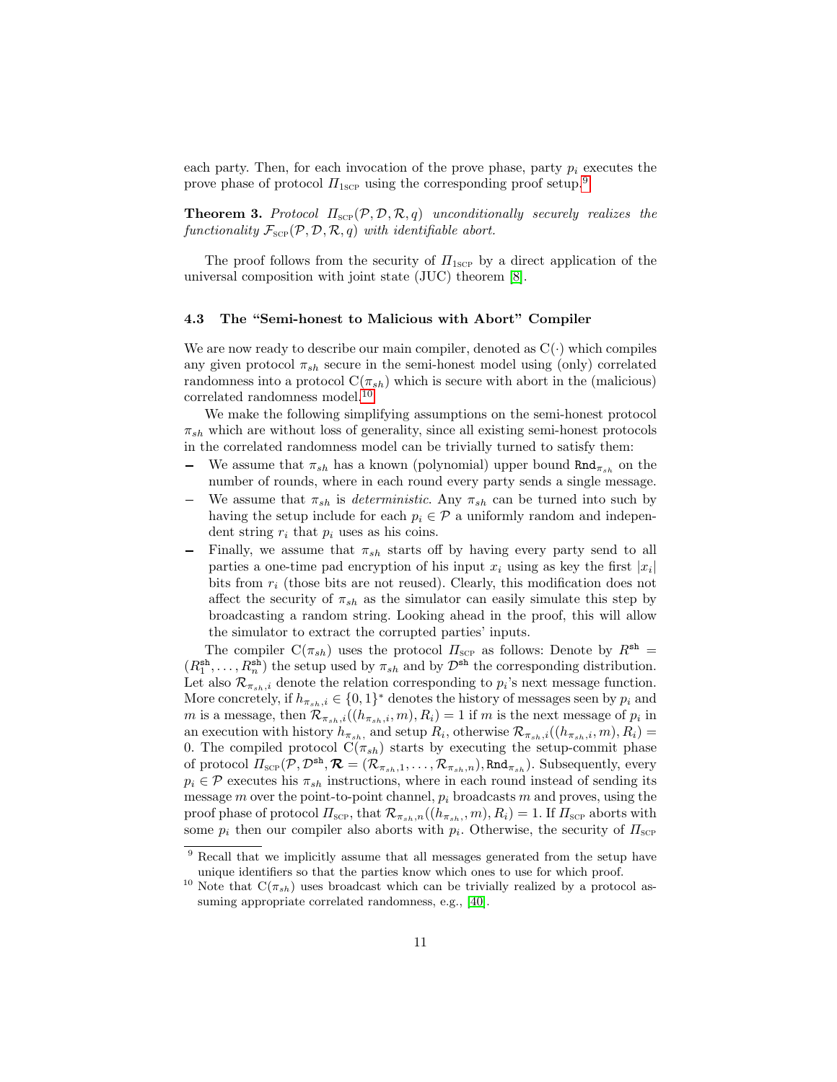each party. Then, for each invocation of the prove phase, party  $p_i$  executes the prove phase of protocol  $\Pi_{1\text{SCP}}$  using the corresponding proof setup.<sup>[9](#page-10-1)</sup>

**Theorem 3.** Protocol  $\Pi_{\text{SCP}}(\mathcal{P}, \mathcal{D}, \mathcal{R}, q)$  unconditionally securely realizes the functionality  $\mathcal{F}_{\text{SCP}}(\mathcal{P},\mathcal{D},\mathcal{R},q)$  with identifiable abort.

The proof follows from the security of  $\Pi_{1\text{SCP}}$  by a direct application of the universal composition with joint state (JUC) theorem [\[8\]](#page-15-12).

#### <span id="page-10-0"></span>4.3 The "Semi-honest to Malicious with Abort" Compiler

We are now ready to describe our main compiler, denoted as  $C(\cdot)$  which compiles any given protocol  $\pi_{sh}$  secure in the semi-honest model using (only) correlated randomness into a protocol  $C(\pi_{sh})$  which is secure with abort in the (malicious) correlated randomness model.<sup>[10](#page-10-2)</sup>

We make the following simplifying assumptions on the semi-honest protocol  $\pi_{sh}$  which are without loss of generality, since all existing semi-honest protocols in the correlated randomness model can be trivially turned to satisfy them:

- We assume that  $\pi_{sh}$  has a known (polynomial) upper bound  $\text{Rnd}_{\pi_{sh}}$  on the number of rounds, where in each round every party sends a single message.
- We assume that  $\pi_{sh}$  is *deterministic*. Any  $\pi_{sh}$  can be turned into such by having the setup include for each  $p_i \in \mathcal{P}$  a uniformly random and independent string  $r_i$  that  $p_i$  uses as his coins.
- Finally, we assume that  $\pi_{sh}$  starts off by having every party send to all parties a one-time pad encryption of his input  $x_i$  using as key the first  $|x_i|$ bits from  $r_i$  (those bits are not reused). Clearly, this modification does not affect the security of  $\pi_{sh}$  as the simulator can easily simulate this step by broadcasting a random string. Looking ahead in the proof, this will allow the simulator to extract the corrupted parties' inputs.

The compiler  $C(\pi_{sh})$  uses the protocol  $\Pi_{\text{SCP}}$  as follows: Denote by  $R^{\text{sh}}$  =  $(R_1^{\text{sh}}, \ldots, R_n^{\text{sh}})$  the setup used by  $\pi_{sh}$  and by  $\mathcal{D}^{\text{sh}}$  the corresponding distribution. Let also  $\mathcal{R}_{\pi_{sh},i}$  denote the relation corresponding to  $p_i$ 's next message function. More concretely, if  $h_{\pi_{sh},i} \in \{0,1\}^*$  denotes the history of messages seen by  $p_i$  and m is a message, then  $\mathcal{R}_{\pi_{sh},i}((h_{\pi_{sh},i},m),R_i) = 1$  if m is the next message of  $p_i$  in an execution with history  $h_{\pi_{sh}}$ , and setup  $R_i$ , otherwise  $\mathcal{R}_{\pi_{sh},i}((h_{\pi_{sh},i}, m), R_i) =$ 0. The compiled protocol  $C(\pi_{sh})$  starts by executing the setup-commit phase of protocol  $\Pi_{\text{SCP}}(\mathcal{P},\mathcal{D}^{\text{sh}},\mathcal{R}=(\mathcal{R}_{\pi_{sh},1},\ldots,\mathcal{R}_{\pi_{sh},n}),$  Rnd $_{\pi_{sh}}$ ). Subsequently, every  $p_i \in \mathcal{P}$  executes his  $\pi_{sh}$  instructions, where in each round instead of sending its message m over the point-to-point channel,  $p_i$  broadcasts m and proves, using the proof phase of protocol  $\Pi_{\text{SCP}}$ , that  $\mathcal{R}_{\pi_{sh},n}((h_{\pi_{sh}},m),R_i) = 1$ . If  $\Pi_{\text{SCP}}$  aborts with some  $p_i$  then our compiler also aborts with  $p_i$ . Otherwise, the security of  $\Pi_{\text{SCP}}$ 

<span id="page-10-1"></span><sup>&</sup>lt;sup>9</sup> Recall that we implicitly assume that all messages generated from the setup have unique identifiers so that the parties know which ones to use for which proof.

<span id="page-10-2"></span><sup>&</sup>lt;sup>10</sup> Note that  $C(\pi_{sh})$  uses broadcast which can be trivially realized by a protocol assuming appropriate correlated randomness, e.g., [\[40\]](#page-17-16).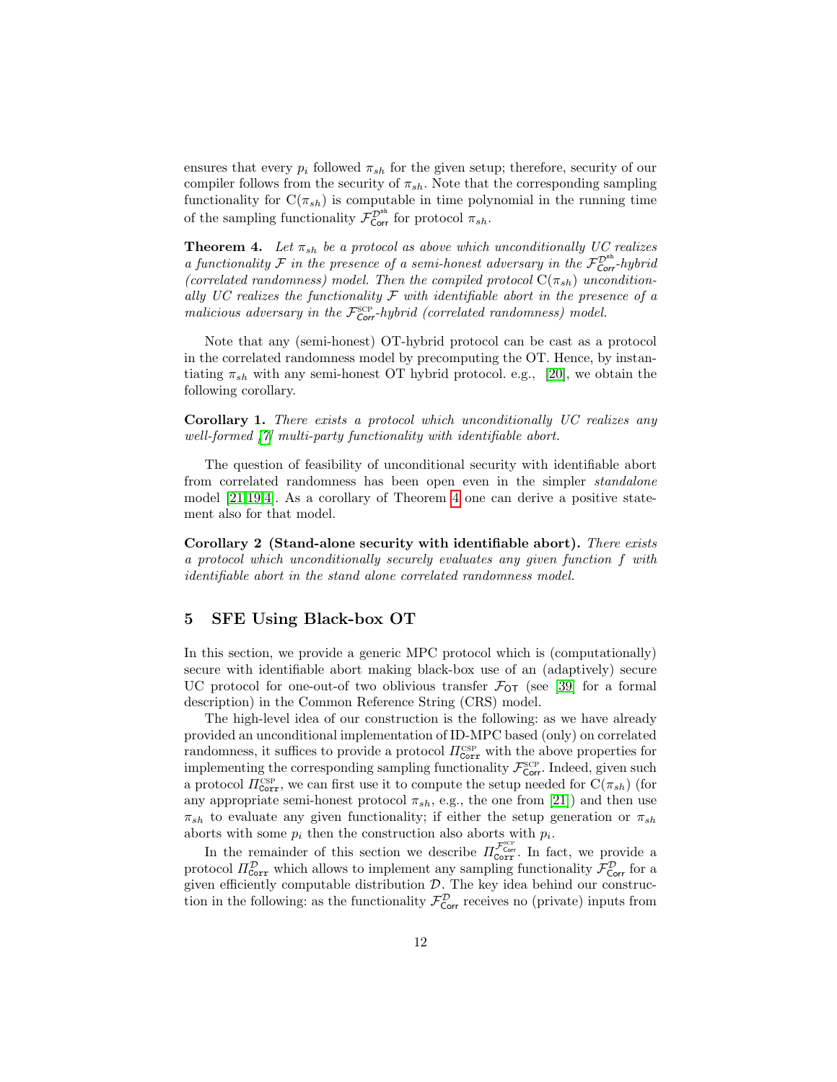ensures that every  $p_i$  followed  $\pi_{sh}$  for the given setup; therefore, security of our compiler follows from the security of  $\pi_{sh}$ . Note that the corresponding sampling functionality for  $C(\pi_{sh})$  is computable in time polynomial in the running time of the sampling functionality  $\mathcal{F}^{\mathcal{D}^{\text{sh}}}_{\text{Corr}}$  for protocol  $\pi_{sh}$ .

<span id="page-11-0"></span>**Theorem 4.** Let  $\pi_{sh}$  be a protocol as above which unconditionally UC realizes a functionality F in the presence of a semi-honest adversary in the  $\mathcal{F}_{Corr}^{D^{sh}}$ -hybrid (correlated randomness) model. Then the compiled protocol  $C(\pi_{sh})$  unconditionally UC realizes the functionality  $\mathcal F$  with identifiable abort in the presence of a malicious adversary in the  $\mathcal{F}_{Corr}^{_\text{SCP}}$ -hybrid (correlated randomness) model.

Note that any (semi-honest) OT-hybrid protocol can be cast as a protocol in the correlated randomness model by precomputing the OT. Hence, by instantiating  $\pi_{sh}$  with any semi-honest OT hybrid protocol. e.g., [\[20\]](#page-16-13), we obtain the following corollary.

Corollary 1. There exists a protocol which unconditionally UC realizes any well-formed [\[7\]](#page-15-5) multi-party functionality with identifiable abort.

The question of feasibility of unconditional security with identifiable abort from correlated randomness has been open even in the simpler standalone model [\[21,](#page-16-2)[19,](#page-16-3)[4\]](#page-15-8). As a corollary of Theorem [4](#page-11-0) one can derive a positive statement also for that model.

Corollary 2 (Stand-alone security with identifiable abort). There exists a protocol which unconditionally securely evaluates any given function f with identifiable abort in the stand alone correlated randomness model.

## 5 SFE Using Black-box OT

In this section, we provide a generic MPC protocol which is (computationally) secure with identifiable abort making black-box use of an (adaptively) secure UC protocol for one-out-of two oblivious transfer  $\mathcal{F}_{OT}$  (see [\[39\]](#page-17-5) for a formal description) in the Common Reference String (CRS) model.

The high-level idea of our construction is the following: as we have already provided an unconditional implementation of ID-MPC based (only) on correlated randomness, it suffices to provide a protocol  $\Pi_{\text{corr}}^{\text{CSP}}$  with the above properties for implementing the corresponding sampling functionality  $\mathcal{F}_{\text{Corr}}^{\text{SCP}}$ . Indeed, given such a protocol  $\Pi_{\text{corr}}^{\text{CSP}}$ , we can first use it to compute the setup needed for  $\widetilde{C}(\pi_{sh})$  (for any appropriate semi-honest protocol  $\pi_{sh}$ , e.g., the one from [\[21\]](#page-16-2)) and then use  $\pi_{sh}$  to evaluate any given functionality; if either the setup generation or  $\pi_{sh}$ aborts with some  $p_i$  then the construction also aborts with  $p_i$ .

In the remainder of this section we describe  $\Pi_{\text{corr}}^{\mathcal{F}_{\text{Corr}}^{\text{cer}}}$ . In fact, we provide a protocol  $\Pi_{\text{Corr}}^{\mathcal{D}}$  which allows to implement any sampling functionality  $\mathcal{F}_{\text{Corr}}^{\mathcal{D}}$  for a given efficiently computable distribution  $D$ . The key idea behind our construction in the following: as the functionality  $\mathcal{F}^{\mathcal{D}}_{Corr}$  receives no (private) inputs from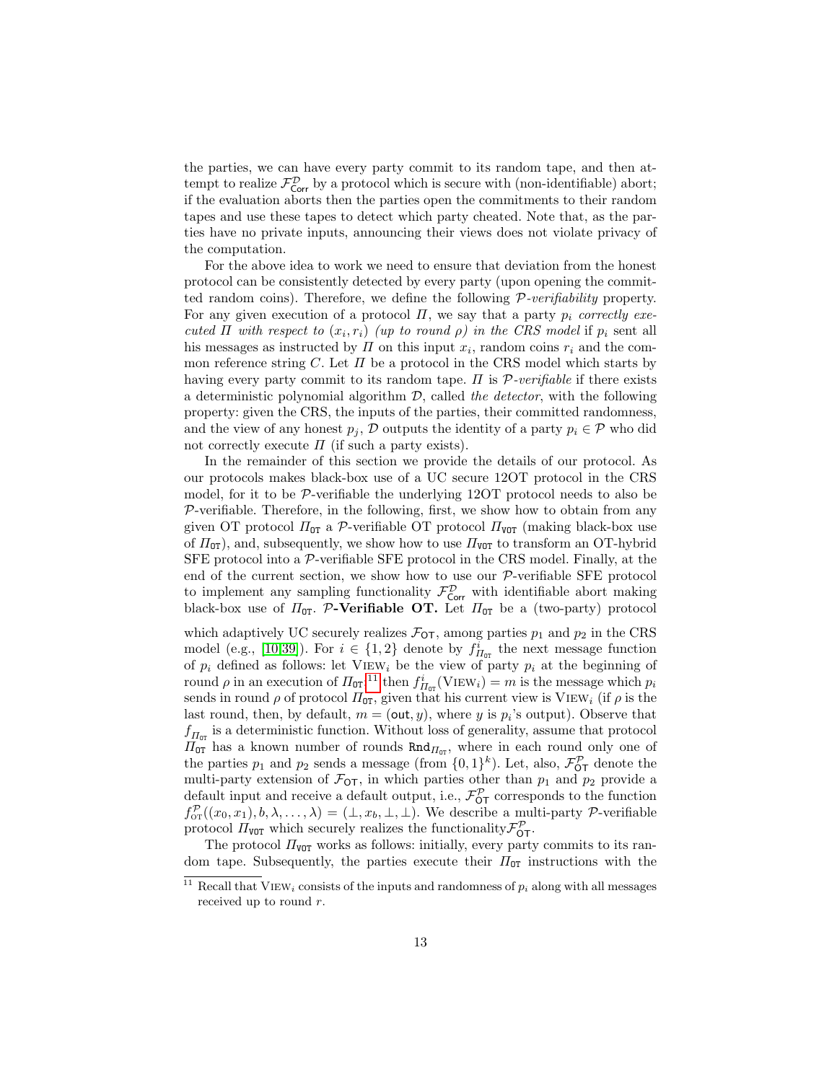the parties, we can have every party commit to its random tape, and then attempt to realize  $\mathcal{F}^{\mathcal{D}}_{\text{Corr}}$  by a protocol which is secure with (non-identifiable) abort; if the evaluation aborts then the parties open the commitments to their random tapes and use these tapes to detect which party cheated. Note that, as the parties have no private inputs, announcing their views does not violate privacy of the computation.

For the above idea to work we need to ensure that deviation from the honest protocol can be consistently detected by every party (upon opening the committed random coins). Therefore, we define the following  $\mathcal{P}\text{-}verifiability$  property. For any given execution of a protocol  $\Pi$ , we say that a party  $p_i$  correctly executed  $\Pi$  with respect to  $(x_i, r_i)$  (up to round  $\rho$ ) in the CRS model if  $p_i$  sent all his messages as instructed by  $\Pi$  on this input  $x_i$ , random coins  $r_i$  and the common reference string C. Let  $\Pi$  be a protocol in the CRS model which starts by having every party commit to its random tape.  $\Pi$  is  $P$ -verifiable if there exists a deterministic polynomial algorithm  $D$ , called the detector, with the following property: given the CRS, the inputs of the parties, their committed randomness, and the view of any honest  $p_i, \mathcal{D}$  outputs the identity of a party  $p_i \in \mathcal{P}$  who did not correctly execute  $\Pi$  (if such a party exists).

In the remainder of this section we provide the details of our protocol. As our protocols makes black-box use of a UC secure 12OT protocol in the CRS model, for it to be P-verifiable the underlying 12OT protocol needs to also be  $P$ -verifiable. Therefore, in the following, first, we show how to obtain from any given OT protocol  $\Pi_{\text{OT}}$  a P-verifiable OT protocol  $\Pi_{\text{VOT}}$  (making black-box use of  $\Pi_{0T}$ , and, subsequently, we show how to use  $\Pi_{V0T}$  to transform an OT-hybrid SFE protocol into a  $P$ -verifiable SFE protocol in the CRS model. Finally, at the end of the current section, we show how to use our  $P$ -verifiable SFE protocol to implement any sampling functionality  $\mathcal{F}^{\mathcal{D}}_{\text{Corr}}$  with identifiable abort making black-box use of  $\Pi_{0T}$ . P-Verifiable OT. Let  $\Pi_{0T}$  be a (two-party) protocol

which adaptively UC securely realizes  $\mathcal{F}_{OT}$ , among parties  $p_1$  and  $p_2$  in the CRS model (e.g., [\[10,](#page-15-9)[39\]](#page-17-5)). For  $i \in \{1,2\}$  denote by  $f_{\Pi_{\text{OT}}}^i$  the next message function of  $p_i$  defined as follows: let VIEW<sub>i</sub> be the view of party  $p_i$  at the beginning of round  $\rho$  in an execution of  $\Pi_{0T}$ ;<sup>[11](#page-12-0)</sup> then  $f_{H_{0T}}^i$ (VIEW<sub>i</sub>) = m is the message which  $p_i$ sends in round  $\rho$  of protocol  $\Pi_{\text{OT}}$ , given that his current view is VIEW<sub>i</sub> (if  $\rho$  is the last round, then, by default,  $m = ($ out, y), where y is  $p_i$ 's output). Observe that  $f_{\varPi_{0\mathtt{T}}}$  is a deterministic function. Without loss of generality, assume that protocol  $\Pi_{\text{OT}}$  has a known number of rounds  $\text{Rnd}_{\Pi_{\text{OT}}}$ , where in each round only one of the parties  $p_1$  and  $p_2$  sends a message (from  $\{0,1\}^k$ ). Let, also,  $\mathcal{F}_{\text{OT}}^{\mathcal{P}}$  denote the multi-party extension of  $\mathcal{F}_{OT}$ , in which parties other than  $p_1$  and  $p_2$  provide a default input and receive a default output, i.e.,  $\mathcal{F}_{\text{OT}}^{\mathcal{P}}$  corresponds to the function  $f_{\text{or}}^{\mathcal{P}}((x_0, x_1), b, \lambda, \ldots, \lambda) = (\perp, x_b, \perp, \perp)$ . We describe a multi-party  $\mathcal{P}$ -verifiable protocol  $\Pi_{\text{VOT}}$  which securely realizes the functionality  $\mathcal{F}_{\text{OT}}^{\mathcal{P}}$ .

The protocol  $\Pi_{VOT}$  works as follows: initially, every party commits to its random tape. Subsequently, the parties execute their  $\Pi_{0T}$  instructions with the

<span id="page-12-0"></span><sup>&</sup>lt;sup>11</sup> Recall that VIEW<sub>i</sub> consists of the inputs and randomness of  $p_i$  along with all messages received up to round r.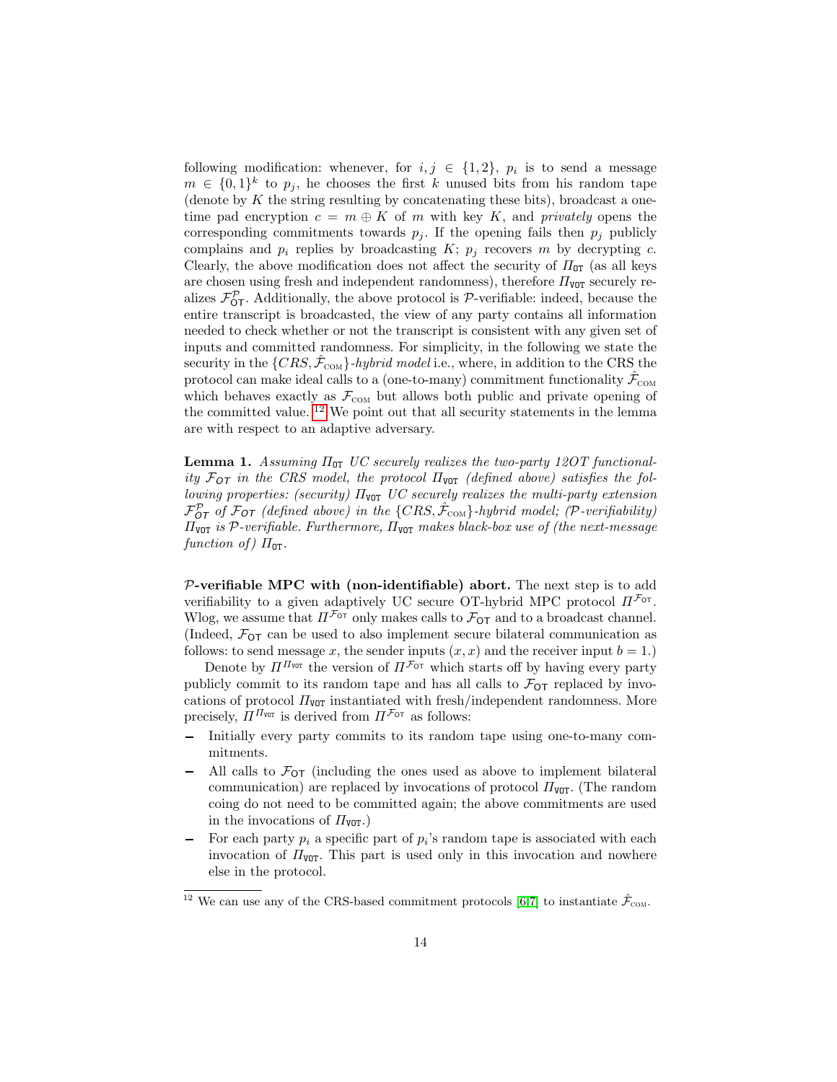following modification: whenever, for  $i, j \in \{1, 2\}$ ,  $p_i$  is to send a message  $m \in \{0,1\}^k$  to  $p_j$ , he chooses the first k unused bits from his random tape (denote by  $K$  the string resulting by concatenating these bits), broadcast a onetime pad encryption  $c = m \oplus K$  of m with key K, and privately opens the corresponding commitments towards  $p_i$ . If the opening fails then  $p_i$  publicly complains and  $p_i$  replies by broadcasting K;  $p_i$  recovers m by decrypting c. Clearly, the above modification does not affect the security of  $\Pi_{0T}$  (as all keys are chosen using fresh and independent randomness), therefore  $\Pi_{VOT}$  securely realizes  $\mathcal{F}_{\text{OT}}^{\mathcal{P}}$ . Additionally, the above protocol is  $\mathcal{P}\text{-verifiable: indeed, because the}$ entire transcript is broadcasted, the view of any party contains all information needed to check whether or not the transcript is consistent with any given set of inputs and committed randomness. For simplicity, in the following we state the security in the  $\{CRS, \hat{\mathcal{F}}_{COM}\}$ -hybrid model i.e., where, in addition to the CRS the protocol can make ideal calls to a (one-to-many) commitment functionality  $\hat{\mathcal{F}}_{\text{COM}}$ which behaves exactly as  $\mathcal{F}_{COM}$  but allows both public and private opening of the committed value.  $12$  We point out that all security statements in the lemma are with respect to an adaptive adversary.

<span id="page-13-1"></span>**Lemma 1.** Assuming  $\Pi_{\text{OT}}$  UC securely realizes the two-party 120T functionality  $\mathcal{F}_{OT}$  in the CRS model, the protocol  $\Pi_{\text{VOT}}$  (defined above) satisfies the following properties: (security)  $\Pi_{\text{VOT}}$  UC securely realizes the multi-party extension  $\mathcal{F}_{OT}^{\mathcal{P}}$  of  $\mathcal{F}_{OT}$  (defined above) in the {CRS,  $\hat{\mathcal{F}}_{COM}$ }-hybrid model; (P-verifiability)  $\Pi$ <sub>VOT</sub> is  $P$ -verifiable. Furthermore,  $\Pi$ <sub>VOT</sub> makes black-box use of (the next-message function of )  $\Pi_{\text{OT}}$ .

 $P$ -verifiable MPC with (non-identifiable) abort. The next step is to add verifiability to a given adaptively UC secure OT-hybrid MPC protocol  $\Pi^{\mathcal{F}_{\text{OT}}}$ . Wlog, we assume that  $\Pi^{\mathcal{F}_{OT}}$  only makes calls to  $\mathcal{F}_{OT}$  and to a broadcast channel. (Indeed,  $\mathcal{F}_{\text{OT}}$  can be used to also implement secure bilateral communication as follows: to send message x, the sender inputs  $(x, x)$  and the receiver input  $b = 1$ .

Denote by  $\Pi^{H_{\text{VOT}}}$  the version of  $\Pi^{\mathcal{F}_{\text{OT}}}$  which starts off by having every party publicly commit to its random tape and has all calls to  $\mathcal{F}_{OT}$  replaced by invocations of protocol  $\Pi_{\text{VOT}}$  instantiated with fresh/independent randomness. More precisely,  $\Pi^{H_{\text{VOT}}}$  is derived from  $\Pi^{\mathcal{F}_{\text{OT}}}$  as follows:

- Initially every party commits to its random tape using one-to-many commitments.
- All calls to  $\mathcal{F}_{OT}$  (including the ones used as above to implement bilateral communication) are replaced by invocations of protocol  $\Pi_{\text{VOT}}$ . (The random coing do not need to be committed again; the above commitments are used in the invocations of  $\Pi_{VOT}$ .
- For each party  $p_i$  a specific part of  $p_i$ 's random tape is associated with each invocation of  $\pi_{\text{VOT}}$ . This part is used only in this invocation and nowhere else in the protocol.

<span id="page-13-0"></span><sup>&</sup>lt;sup>12</sup> We can use any of the CRS-based commitment protocols [\[6,](#page-15-13)[7\]](#page-15-5) to instantiate  $\hat{\mathcal{F}}_{COM}$ .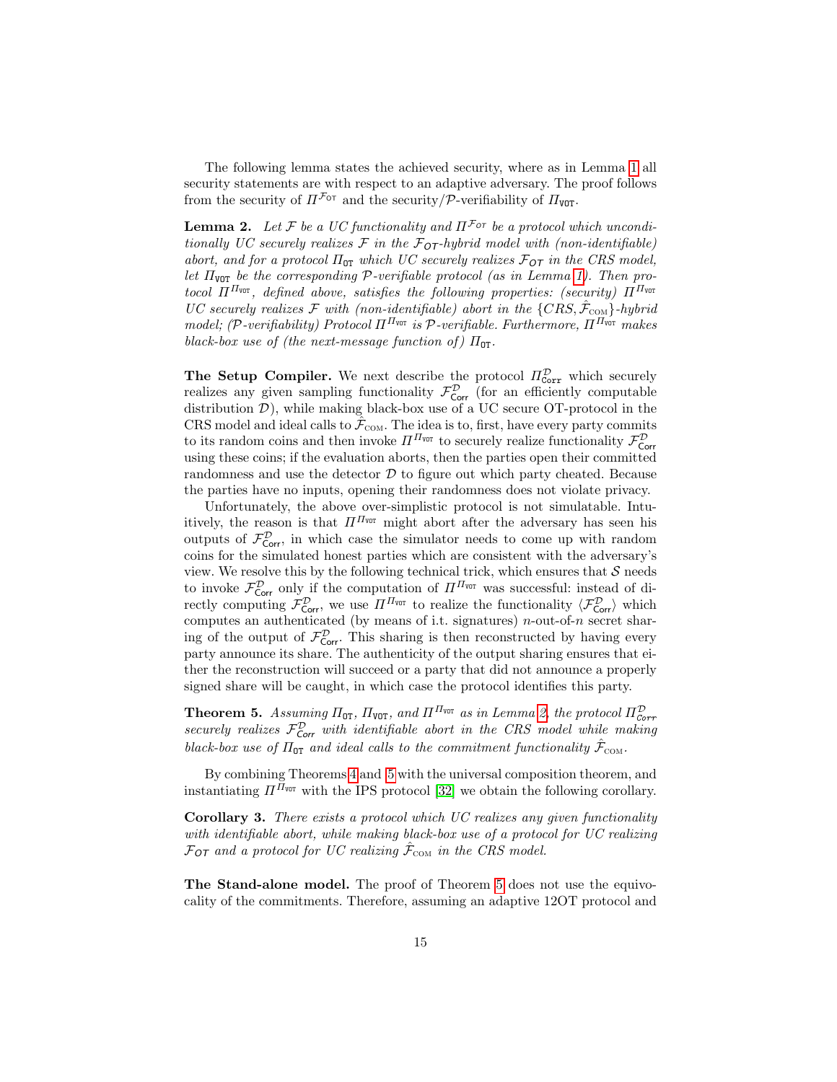The following lemma states the achieved security, where as in Lemma [1](#page-13-1) all security statements are with respect to an adaptive adversary. The proof follows from the security of  $\Pi^{\mathcal{F}_{OT}}$  and the security/ $\mathcal{P}_{\text{verifiability}}$  of  $\Pi_{\text{VOT}}$ .

<span id="page-14-0"></span>**Lemma 2.** Let F be a UC functionality and  $\Pi^{\mathcal{F}_{OT}}$  be a protocol which unconditionally UC securely realizes  $\mathcal F$  in the  $\mathcal F_{OT}$ -hybrid model with (non-identifiable) abort, and for a protocol  $\Pi_{\text{OT}}$  which UC securely realizes  $\mathcal{F}_{\text{OT}}$  in the CRS model, let  $\Pi_{\text{VOT}}$  be the corresponding  $\mathcal{P}\text{-}verifiable$  protocol (as in Lemma [1\)](#page-13-1). Then protocol  $\Pi^{\Pi_{\text{VOT}}}$ , defined above, satisfies the following properties: (security)  $\Pi^{\Pi_{\text{VOT}}}$ UC securely realizes  $\mathcal F$  with (non-identifiable) abort in the  $\{CRS, \hat{\mathcal F}_{{\rm COM}}\}$ -hybrid model; (P-verifiability) Protocol  $\Pi^{H_{\text{VOT}}}$  is  $\mathcal P$ -verifiable. Furthermore,  $\Pi^{H_{\text{VOT}}}$  makes black-box use of (the next-message function of)  $\Pi_{\text{OT}}$ .

The Setup Compiler. We next describe the protocol  $\Pi_{\text{corr}}^{\mathcal{D}}$  which securely realizes any given sampling functionality  $\mathcal{F}^{\mathcal{D}}_{\text{Corr}}$  (for an efficiently computable distribution  $\mathcal{D}$ ), while making black-box use of a UC secure OT-protocol in the CRS model and ideal calls to  $\hat{\mathcal{F}}_{COM}$ . The idea is to, first, have every party commits to its random coins and then invoke  $\Pi^{H_{\text{VOT}}}$  to securely realize functionality  $\mathcal{F}_{\text{Corr}}^{\mathcal{D}}$ using these coins; if the evaluation aborts, then the parties open their committed randomness and use the detector  $D$  to figure out which party cheated. Because the parties have no inputs, opening their randomness does not violate privacy.

Unfortunately, the above over-simplistic protocol is not simulatable. Intuitively, the reason is that  $\Pi^{H_{\text{VOT}}}$  might abort after the adversary has seen his outputs of  $\mathcal{F}^{\mathcal{D}}_{\text{Corr}}$ , in which case the simulator needs to come up with random coins for the simulated honest parties which are consistent with the adversary's view. We resolve this by the following technical trick, which ensures that  $S$  needs to invoke  $\mathcal{F}^{\mathcal{D}}_{\text{Corr}}$  only if the computation of  $\Pi^{H_{\text{VOT}}}$  was successful: instead of directly computing  $\mathcal{F}^{\mathcal{D}}_{\text{Corr}}$ , we use  $\Pi^{H_{\text{vor}}}$  to realize the functionality  $\langle \mathcal{F}^{\mathcal{D}}_{\text{Corr}} \rangle$  which computes an authenticated (by means of i.t. signatures)  $n$ -out-of-n secret sharing of the output of  $\mathcal{F}^{\mathcal{D}}_{\text{Corr}}$ . This sharing is then reconstructed by having every party announce its share. The authenticity of the output sharing ensures that either the reconstruction will succeed or a party that did not announce a properly signed share will be caught, in which case the protocol identifies this party.

<span id="page-14-1"></span>**Theorem 5.** Assuming  $\Pi_{\texttt{OT}}, H_{\texttt{VOT}},$  and  $\Pi^{H_{\texttt{VOT}}}$  as in Lemma [2,](#page-14-0) the protocol  $\Pi_{\textit{Corr}}^{\mathcal{D}}$ securely realizes  $\mathcal{F}_{\text{Corr}}^{\mathcal{D}}$  with identifiable abort in the CRS model while making black-box use of  $\Pi_{\texttt{OT}}$  and ideal calls to the commitment functionality  $\hat{\mathcal{F}}_{\texttt{COM}}$ .

By combining Theorems [4](#page-11-0) and [5](#page-14-1) with the universal composition theorem, and instantiating  $\Pi^{\overline{H}_{\text{VOT}}}$  with the IPS protocol [\[32\]](#page-17-15) we obtain the following corollary.

Corollary 3. There exists a protocol which UC realizes any given functionality with identifiable abort, while making black-box use of a protocol for UC realizing  $\mathcal{F}_{\text{OT}}$  and a protocol for UC realizing  $\hat{\mathcal{F}}_{\text{COM}}$  in the CRS model.

The Stand-alone model. The proof of Theorem [5](#page-14-1) does not use the equivocality of the commitments. Therefore, assuming an adaptive 12OT protocol and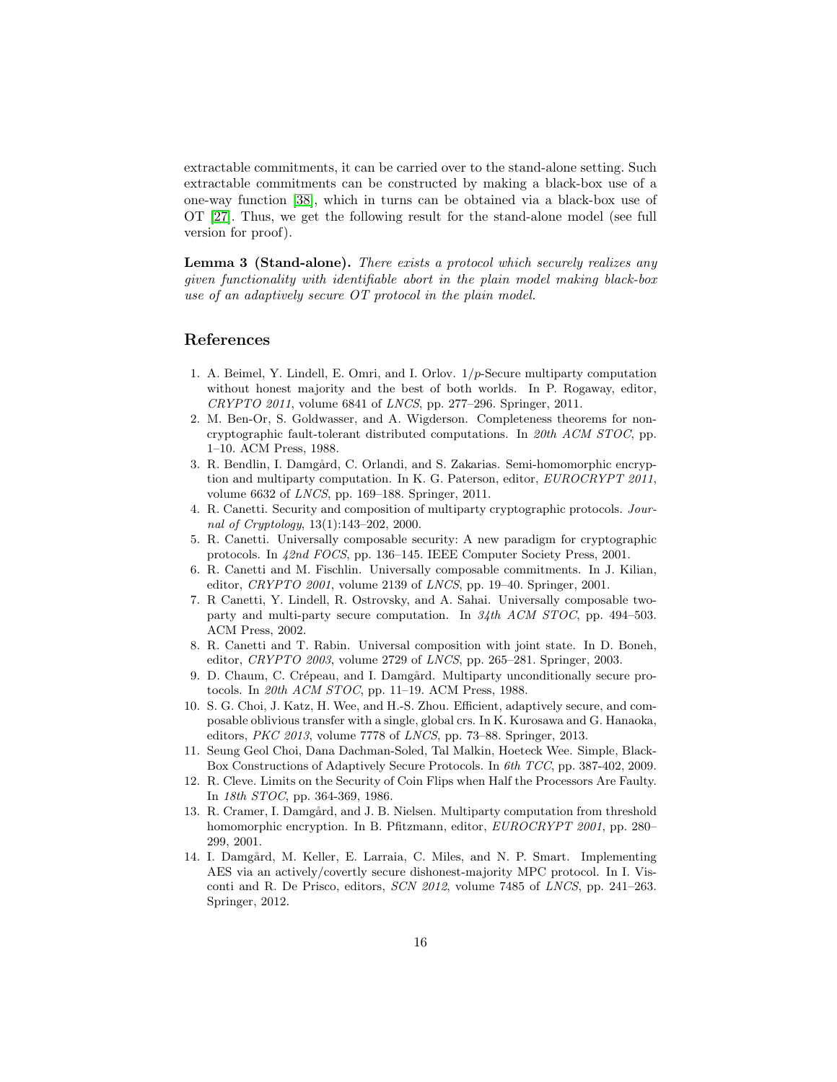extractable commitments, it can be carried over to the stand-alone setting. Such extractable commitments can be constructed by making a black-box use of a one-way function [\[38\]](#page-17-7), which in turns can be obtained via a black-box use of OT [\[27\]](#page-16-7). Thus, we get the following result for the stand-alone model (see full version for proof).

Lemma 3 (Stand-alone). There exists a protocol which securely realizes any given functionality with identifiable abort in the plain model making black-box use of an adaptively secure OT protocol in the plain model.

# References

- <span id="page-15-11"></span>1. A. Beimel, Y. Lindell, E. Omri, and I. Orlov.  $1/p$ -Secure multiparty computation without honest majority and the best of both worlds. In P. Rogaway, editor, CRYPTO 2011, volume 6841 of LNCS, pp. 277–296. Springer, 2011.
- <span id="page-15-2"></span>2. M. Ben-Or, S. Goldwasser, and A. Wigderson. Completeness theorems for noncryptographic fault-tolerant distributed computations. In 20th ACM STOC, pp. 1–10. ACM Press, 1988.
- <span id="page-15-0"></span>3. R. Bendlin, I. Damgård, C. Orlandi, and S. Zakarias. Semi-homomorphic encryption and multiparty computation. In K. G. Paterson, editor, EUROCRYPT 2011, volume 6632 of LNCS, pp. 169–188. Springer, 2011.
- <span id="page-15-8"></span>4. R. Canetti. Security and composition of multiparty cryptographic protocols. Journal of Cryptology, 13(1):143–202, 2000.
- <span id="page-15-7"></span>5. R. Canetti. Universally composable security: A new paradigm for cryptographic protocols. In 42nd FOCS, pp. 136–145. IEEE Computer Society Press, 2001.
- <span id="page-15-13"></span>6. R. Canetti and M. Fischlin. Universally composable commitments. In J. Kilian, editor, CRYPTO 2001, volume 2139 of LNCS, pp. 19–40. Springer, 2001.
- <span id="page-15-5"></span>7. R Canetti, Y. Lindell, R. Ostrovsky, and A. Sahai. Universally composable twoparty and multi-party secure computation. In 34th ACM STOC, pp. 494–503. ACM Press, 2002.
- <span id="page-15-12"></span>8. R. Canetti and T. Rabin. Universal composition with joint state. In D. Boneh, editor, CRYPTO 2003, volume 2729 of LNCS, pp. 265–281. Springer, 2003.
- <span id="page-15-3"></span>9. D. Chaum, C. Crépeau, and I. Damgård. Multiparty unconditionally secure protocols. In 20th ACM STOC, pp. 11–19. ACM Press, 1988.
- <span id="page-15-9"></span>10. S. G. Choi, J. Katz, H. Wee, and H.-S. Zhou. Efficient, adaptively secure, and composable oblivious transfer with a single, global crs. In K. Kurosawa and G. Hanaoka, editors, PKC 2013, volume 7778 of LNCS, pp. 73–88. Springer, 2013.
- <span id="page-15-10"></span>11. Seung Geol Choi, Dana Dachman-Soled, Tal Malkin, Hoeteck Wee. Simple, Black-Box Constructions of Adaptively Secure Protocols. In 6th TCC, pp. 387-402, 2009.
- <span id="page-15-4"></span>12. R. Cleve. Limits on the Security of Coin Flips when Half the Processors Are Faulty. In 18th STOC, pp. 364-369, 1986.
- <span id="page-15-6"></span>13. R. Cramer, I. Damgård, and J. B. Nielsen. Multiparty computation from threshold homomorphic encryption. In B. Pfitzmann, editor, EUROCRYPT 2001, pp. 280– 299, 2001.
- <span id="page-15-1"></span>14. I. Damgård, M. Keller, E. Larraia, C. Miles, and N. P. Smart. Implementing AES via an actively/covertly secure dishonest-majority MPC protocol. In I. Visconti and R. De Prisco, editors, SCN 2012, volume 7485 of LNCS, pp. 241–263. Springer, 2012.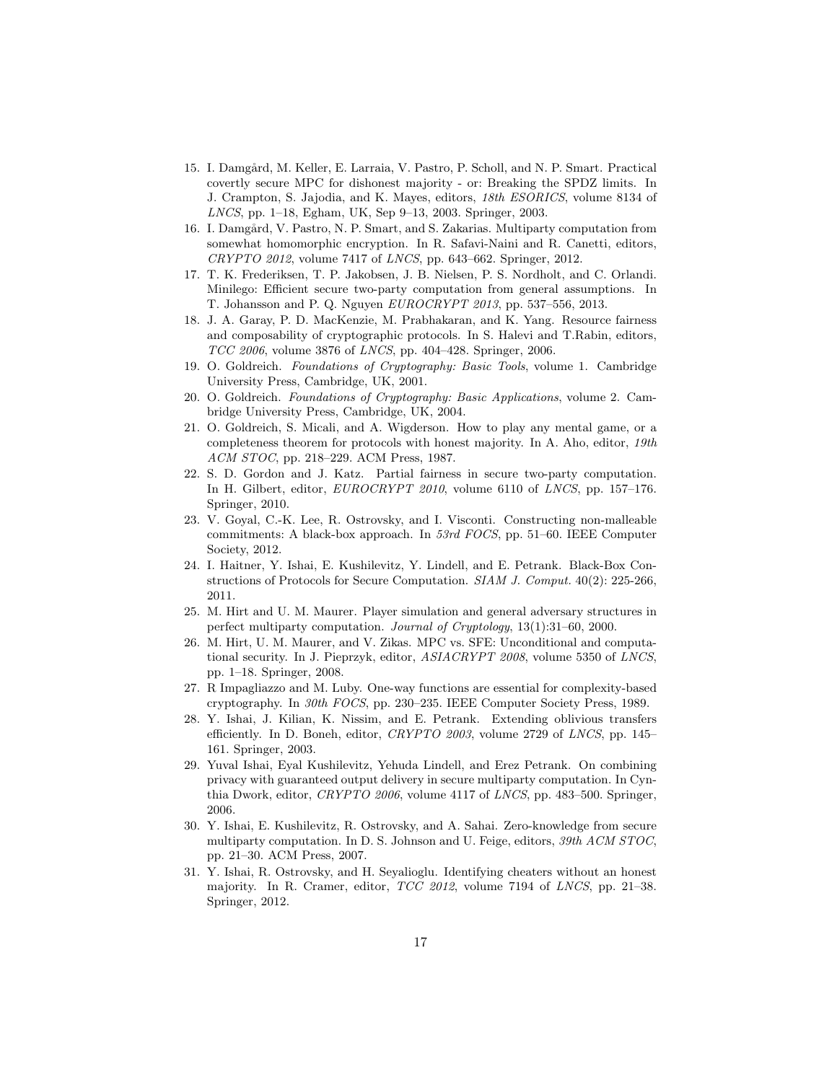- <span id="page-16-1"></span>15. I. Damgård, M. Keller, E. Larraia, V. Pastro, P. Scholl, and N. P. Smart. Practical covertly secure MPC for dishonest majority - or: Breaking the SPDZ limits. In J. Crampton, S. Jajodia, and K. Mayes, editors, 18th ESORICS, volume 8134 of LNCS, pp. 1–18, Egham, UK, Sep 9–13, 2003. Springer, 2003.
- <span id="page-16-0"></span>16. I. Damgård, V. Pastro, N. P. Smart, and S. Zakarias. Multiparty computation from somewhat homomorphic encryption. In R. Safavi-Naini and R. Canetti, editors, CRYPTO 2012, volume 7417 of LNCS, pp. 643–662. Springer, 2012.
- <span id="page-16-6"></span>17. T. K. Frederiksen, T. P. Jakobsen, J. B. Nielsen, P. S. Nordholt, and C. Orlandi. Minilego: Efficient secure two-party computation from general assumptions. In T. Johansson and P. Q. Nguyen EUROCRYPT 2013, pp. 537–556, 2013.
- <span id="page-16-10"></span>18. J. A. Garay, P. D. MacKenzie, M. Prabhakaran, and K. Yang. Resource fairness and composability of cryptographic protocols. In S. Halevi and T.Rabin, editors, TCC 2006, volume 3876 of LNCS, pp. 404–428. Springer, 2006.
- <span id="page-16-3"></span>19. O. Goldreich. Foundations of Cryptography: Basic Tools, volume 1. Cambridge University Press, Cambridge, UK, 2001.
- <span id="page-16-13"></span>20. O. Goldreich. Foundations of Cryptography: Basic Applications, volume 2. Cambridge University Press, Cambridge, UK, 2004.
- <span id="page-16-2"></span>21. O. Goldreich, S. Micali, and A. Wigderson. How to play any mental game, or a completeness theorem for protocols with honest majority. In A. Aho, editor, 19th ACM STOC, pp. 218–229. ACM Press, 1987.
- <span id="page-16-12"></span>22. S. D. Gordon and J. Katz. Partial fairness in secure two-party computation. In H. Gilbert, editor, EUROCRYPT 2010, volume 6110 of LNCS, pp. 157–176. Springer, 2010.
- 23. V. Goyal, C.-K. Lee, R. Ostrovsky, and I. Visconti. Constructing non-malleable commitments: A black-box approach. In 53rd FOCS, pp. 51–60. IEEE Computer Society, 2012.
- <span id="page-16-8"></span>24. I. Haitner, Y. Ishai, E. Kushilevitz, Y. Lindell, and E. Petrank. Black-Box Constructions of Protocols for Secure Computation. SIAM J. Comput. 40(2): 225-266, 2011.
- <span id="page-16-14"></span>25. M. Hirt and U. M. Maurer. Player simulation and general adversary structures in perfect multiparty computation. Journal of Cryptology, 13(1):31–60, 2000.
- <span id="page-16-11"></span>26. M. Hirt, U. M. Maurer, and V. Zikas. MPC vs. SFE: Unconditional and computational security. In J. Pieprzyk, editor, ASIACRYPT 2008, volume 5350 of LNCS, pp. 1–18. Springer, 2008.
- <span id="page-16-7"></span>27. R Impagliazzo and M. Luby. One-way functions are essential for complexity-based cryptography. In 30th FOCS, pp. 230–235. IEEE Computer Society Press, 1989.
- <span id="page-16-5"></span>28. Y. Ishai, J. Kilian, K. Nissim, and E. Petrank. Extending oblivious transfers efficiently. In D. Boneh, editor, CRYPTO 2003, volume 2729 of LNCS, pp. 145– 161. Springer, 2003.
- <span id="page-16-9"></span>29. Yuval Ishai, Eyal Kushilevitz, Yehuda Lindell, and Erez Petrank. On combining privacy with guaranteed output delivery in secure multiparty computation. In Cynthia Dwork, editor, CRYPTO 2006, volume 4117 of LNCS, pp. 483–500. Springer, 2006.
- <span id="page-16-15"></span>30. Y. Ishai, E. Kushilevitz, R. Ostrovsky, and A. Sahai. Zero-knowledge from secure multiparty computation. In D. S. Johnson and U. Feige, editors, 39th ACM STOC, pp. 21–30. ACM Press, 2007.
- <span id="page-16-4"></span>31. Y. Ishai, R. Ostrovsky, and H. Seyalioglu. Identifying cheaters without an honest majority. In R. Cramer, editor, TCC 2012, volume 7194 of LNCS, pp. 21–38. Springer, 2012.